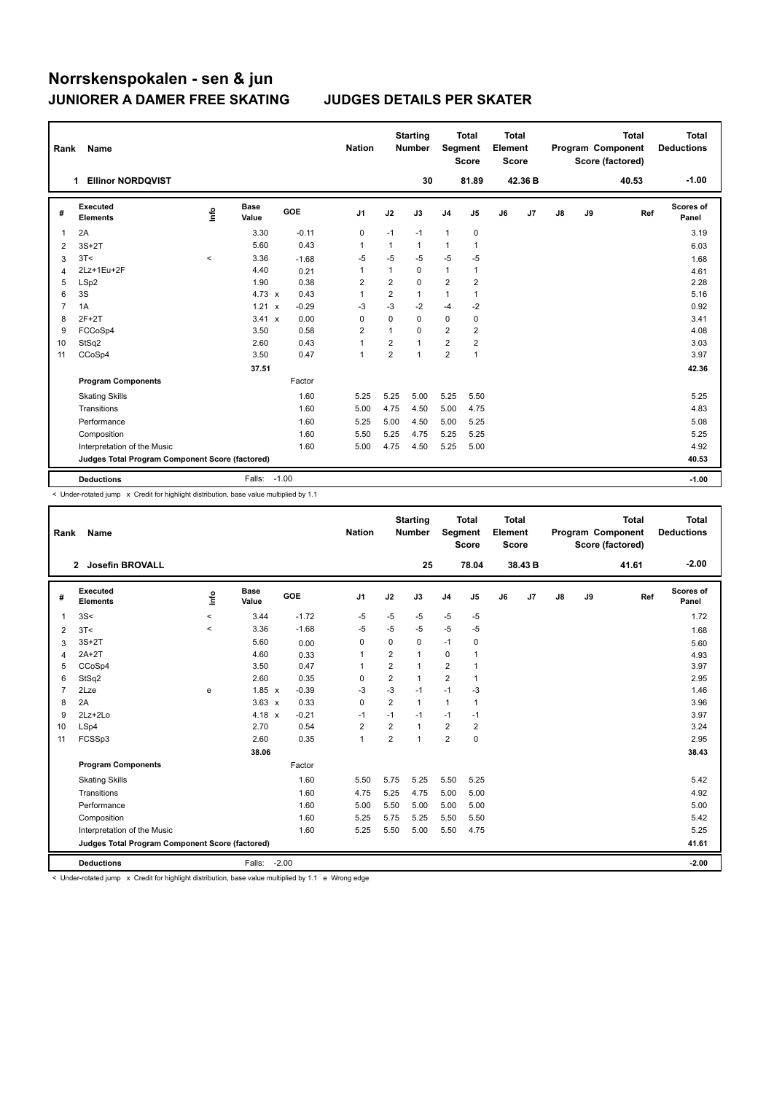| Rank           | Name                                            |          |                      |            | <b>Nation</b>           |                         | <b>Starting</b><br><b>Number</b> | Segment                 | <b>Total</b><br><b>Score</b> | <b>Total</b><br>Element<br><b>Score</b> |                |               |    | <b>Total</b><br>Program Component<br>Score (factored) | <b>Total</b><br><b>Deductions</b> |
|----------------|-------------------------------------------------|----------|----------------------|------------|-------------------------|-------------------------|----------------------------------|-------------------------|------------------------------|-----------------------------------------|----------------|---------------|----|-------------------------------------------------------|-----------------------------------|
|                | <b>Ellinor NORDQVIST</b><br>1.                  |          |                      |            |                         |                         | 30                               |                         | 81.89                        |                                         | 42.36 B        |               |    | 40.53                                                 | $-1.00$                           |
| #              | Executed<br><b>Elements</b>                     | ۴٥       | <b>Base</b><br>Value | <b>GOE</b> | J <sub>1</sub>          | J2                      | J3                               | J <sub>4</sub>          | J <sub>5</sub>               | J6                                      | J <sub>7</sub> | $\mathsf{J}8$ | J9 | Ref                                                   | Scores of<br>Panel                |
| -1             | 2A                                              |          | 3.30                 | $-0.11$    | 0                       | $-1$                    | $-1$                             | $\mathbf{1}$            | 0                            |                                         |                |               |    |                                                       | 3.19                              |
| $\overline{2}$ | $3S+2T$                                         |          | 5.60                 | 0.43       | $\mathbf{1}$            | $\mathbf{1}$            | 1                                | 1                       | 1                            |                                         |                |               |    |                                                       | 6.03                              |
| 3              | 3T<                                             | $\hat{}$ | 3.36                 | $-1.68$    | $-5$                    | $-5$                    | -5                               | $-5$                    | -5                           |                                         |                |               |    |                                                       | 1.68                              |
| 4              | 2Lz+1Eu+2F                                      |          | 4.40                 | 0.21       | $\mathbf{1}$            | $\mathbf{1}$            | 0                                | 1                       | 1                            |                                         |                |               |    |                                                       | 4.61                              |
| 5              | LSp2                                            |          | 1.90                 | 0.38       | $\overline{\mathbf{c}}$ | $\overline{\mathbf{c}}$ | $\mathbf 0$                      | $\overline{\mathbf{c}}$ | 2                            |                                         |                |               |    |                                                       | 2.28                              |
| 6              | 3S                                              |          | 4.73 $\times$        | 0.43       | $\mathbf{1}$            | $\overline{2}$          | $\mathbf{1}$                     | 1                       | 1                            |                                         |                |               |    |                                                       | 5.16                              |
| $\overline{7}$ | 1A                                              |          | 1.21 x               | $-0.29$    | $-3$                    | $-3$                    | $-2$                             | $-4$                    | $-2$                         |                                         |                |               |    |                                                       | 0.92                              |
| 8              | $2F+2T$                                         |          | $3.41 \times$        | 0.00       | 0                       | $\mathbf 0$             | 0                                | 0                       | 0                            |                                         |                |               |    |                                                       | 3.41                              |
| 9              | FCCoSp4                                         |          | 3.50                 | 0.58       | $\overline{2}$          | $\mathbf{1}$            | 0                                | $\overline{2}$          | 2                            |                                         |                |               |    |                                                       | 4.08                              |
| 10             | StSq2                                           |          | 2.60                 | 0.43       | 1                       | $\overline{2}$          | $\mathbf{1}$                     | $\overline{2}$          | $\overline{2}$               |                                         |                |               |    |                                                       | 3.03                              |
| 11             | CCoSp4                                          |          | 3.50                 | 0.47       | 1                       | $\overline{2}$          | 1                                | $\overline{2}$          | 1                            |                                         |                |               |    |                                                       | 3.97                              |
|                |                                                 |          | 37.51                |            |                         |                         |                                  |                         |                              |                                         |                |               |    |                                                       | 42.36                             |
|                | <b>Program Components</b>                       |          |                      | Factor     |                         |                         |                                  |                         |                              |                                         |                |               |    |                                                       |                                   |
|                | <b>Skating Skills</b>                           |          |                      | 1.60       | 5.25                    | 5.25                    | 5.00                             | 5.25                    | 5.50                         |                                         |                |               |    |                                                       | 5.25                              |
|                | Transitions                                     |          |                      | 1.60       | 5.00                    | 4.75                    | 4.50                             | 5.00                    | 4.75                         |                                         |                |               |    |                                                       | 4.83                              |
|                | Performance                                     |          |                      | 1.60       | 5.25                    | 5.00                    | 4.50                             | 5.00                    | 5.25                         |                                         |                |               |    |                                                       | 5.08                              |
|                | Composition                                     |          |                      | 1.60       | 5.50                    | 5.25                    | 4.75                             | 5.25                    | 5.25                         |                                         |                |               |    |                                                       | 5.25                              |
|                | Interpretation of the Music                     |          |                      | 1.60       | 5.00                    | 4.75                    | 4.50                             | 5.25                    | 5.00                         |                                         |                |               |    |                                                       | 4.92                              |
|                | Judges Total Program Component Score (factored) |          |                      |            |                         |                         |                                  |                         |                              |                                         |                |               |    |                                                       | 40.53                             |
|                | <b>Deductions</b>                               |          | Falls:               | $-1.00$    |                         |                         |                                  |                         |                              |                                         |                |               |    |                                                       | $-1.00$                           |

< Under-rotated jump x Credit for highlight distribution, base value multiplied by 1.1

| Rank           | Name                                            |            |                      |            | <b>Nation</b>  |                | <b>Starting</b><br><b>Number</b> | <b>Segment</b> | <b>Total</b><br><b>Score</b> | Total<br>Element<br><b>Score</b> |         |    |    | <b>Total</b><br>Program Component<br>Score (factored) | <b>Total</b><br><b>Deductions</b> |
|----------------|-------------------------------------------------|------------|----------------------|------------|----------------|----------------|----------------------------------|----------------|------------------------------|----------------------------------|---------|----|----|-------------------------------------------------------|-----------------------------------|
|                | <b>Josefin BROVALL</b><br>$\mathbf{2}$          |            |                      |            |                |                | 25                               |                | 78.04                        |                                  | 38.43 B |    |    | 41.61                                                 | $-2.00$                           |
| #              | Executed<br><b>Elements</b>                     | <b>Lin</b> | <b>Base</b><br>Value | <b>GOE</b> | J <sub>1</sub> | J2             | J3                               | J <sub>4</sub> | J5                           | J6                               | J7      | J8 | J9 | Ref                                                   | <b>Scores of</b><br>Panel         |
| $\mathbf{1}$   | 3S<                                             | $\hat{}$   | 3.44                 | $-1.72$    | $-5$           | $-5$           | $-5$                             | $-5$           | $-5$                         |                                  |         |    |    |                                                       | 1.72                              |
| $\overline{2}$ | 3T<                                             | $\hat{}$   | 3.36                 | $-1.68$    | -5             | $-5$           | $-5$                             | -5             | $-5$                         |                                  |         |    |    |                                                       | 1.68                              |
| 3              | $3S+2T$                                         |            | 5.60                 | 0.00       | 0              | 0              | 0                                | $-1$           | 0                            |                                  |         |    |    |                                                       | 5.60                              |
| $\overline{4}$ | $2A+2T$                                         |            | 4.60                 | 0.33       | $\mathbf{1}$   | 2              | 1                                | 0              | 1                            |                                  |         |    |    |                                                       | 4.93                              |
| 5              | CCoSp4                                          |            | 3.50                 | 0.47       | $\mathbf{1}$   | $\overline{2}$ | 1                                | $\overline{2}$ | 1                            |                                  |         |    |    |                                                       | 3.97                              |
| 6              | StSq2                                           |            | 2.60                 | 0.35       | 0              | $\overline{2}$ | $\mathbf{1}$                     | $\overline{2}$ | $\mathbf{1}$                 |                                  |         |    |    |                                                       | 2.95                              |
| $\overline{7}$ | 2Lze                                            | e          | $1.85 \times$        | $-0.39$    | -3             | $-3$           | $-1$                             | $-1$           | -3                           |                                  |         |    |    |                                                       | 1.46                              |
| 8              | 2A                                              |            | $3.63 \times$        | 0.33       | 0              | $\overline{2}$ | $\mathbf{1}$                     | $\mathbf{1}$   | 1                            |                                  |         |    |    |                                                       | 3.96                              |
| 9              | $2Lz + 2Lo$                                     |            | 4.18 $x$             | $-0.21$    | $-1$           | $-1$           | $-1$                             | $-1$           | $-1$                         |                                  |         |    |    |                                                       | 3.97                              |
| 10             | LSp4                                            |            | 2.70                 | 0.54       | $\overline{2}$ | $\overline{2}$ | 1                                | $\overline{2}$ | $\overline{2}$               |                                  |         |    |    |                                                       | 3.24                              |
| 11             | FCSSp3                                          |            | 2.60                 | 0.35       | $\mathbf{1}$   | $\overline{2}$ | $\mathbf{1}$                     | $\overline{2}$ | $\mathbf 0$                  |                                  |         |    |    |                                                       | 2.95                              |
|                |                                                 |            | 38.06                |            |                |                |                                  |                |                              |                                  |         |    |    |                                                       | 38.43                             |
|                | <b>Program Components</b>                       |            |                      | Factor     |                |                |                                  |                |                              |                                  |         |    |    |                                                       |                                   |
|                | <b>Skating Skills</b>                           |            |                      | 1.60       | 5.50           | 5.75           | 5.25                             | 5.50           | 5.25                         |                                  |         |    |    |                                                       | 5.42                              |
|                | Transitions                                     |            |                      | 1.60       | 4.75           | 5.25           | 4.75                             | 5.00           | 5.00                         |                                  |         |    |    |                                                       | 4.92                              |
|                | Performance                                     |            |                      | 1.60       | 5.00           | 5.50           | 5.00                             | 5.00           | 5.00                         |                                  |         |    |    |                                                       | 5.00                              |
|                | Composition                                     |            |                      | 1.60       | 5.25           | 5.75           | 5.25                             | 5.50           | 5.50                         |                                  |         |    |    |                                                       | 5.42                              |
|                | Interpretation of the Music                     |            |                      | 1.60       | 5.25           | 5.50           | 5.00                             | 5.50           | 4.75                         |                                  |         |    |    |                                                       | 5.25                              |
|                | Judges Total Program Component Score (factored) |            |                      |            |                |                |                                  |                |                              |                                  |         |    |    |                                                       | 41.61                             |
|                | <b>Deductions</b>                               |            | Falls:               | $-2.00$    |                |                |                                  |                |                              |                                  |         |    |    |                                                       | $-2.00$                           |

< Under-rotated jump x Credit for highlight distribution, base value multiplied by 1.1 e Wrong edge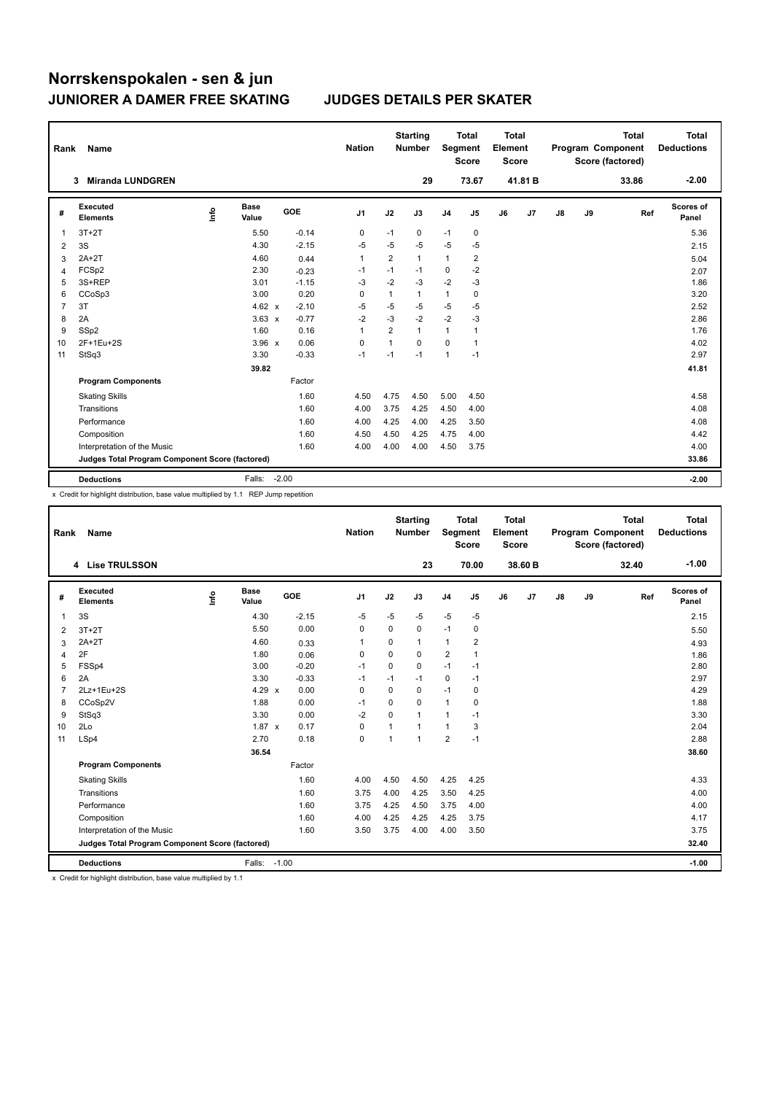| Rank           | Name                                            |    |                      |            | <b>Nation</b>  |                | <b>Starting</b><br><b>Number</b> | Segment        | <b>Total</b><br><b>Score</b> | <b>Total</b><br>Element<br><b>Score</b> |                |    |    | <b>Total</b><br>Program Component<br>Score (factored) | <b>Total</b><br><b>Deductions</b> |
|----------------|-------------------------------------------------|----|----------------------|------------|----------------|----------------|----------------------------------|----------------|------------------------------|-----------------------------------------|----------------|----|----|-------------------------------------------------------|-----------------------------------|
|                | <b>Miranda LUNDGREN</b><br>3                    |    |                      |            |                |                | 29                               |                | 73.67                        |                                         | 41.81 B        |    |    | 33.86                                                 | $-2.00$                           |
| #              | Executed<br><b>Elements</b>                     | ۴٥ | <b>Base</b><br>Value | <b>GOE</b> | J <sub>1</sub> | J2             | J3                               | J <sub>4</sub> | J5                           | J6                                      | J <sub>7</sub> | J8 | J9 | Ref                                                   | Scores of<br>Panel                |
| 1              | $3T+2T$                                         |    | 5.50                 | $-0.14$    | 0              | $-1$           | 0                                | $-1$           | 0                            |                                         |                |    |    |                                                       | 5.36                              |
| $\overline{2}$ | 3S                                              |    | 4.30                 | $-2.15$    | $-5$           | $-5$           | $-5$                             | $-5$           | $-5$                         |                                         |                |    |    |                                                       | 2.15                              |
| 3              | $2A+2T$                                         |    | 4.60                 | 0.44       | 1              | $\overline{2}$ | 1                                | 1              | 2                            |                                         |                |    |    |                                                       | 5.04                              |
| 4              | FCSp2                                           |    | 2.30                 | $-0.23$    | $-1$           | $-1$           | $-1$                             | 0              | $-2$                         |                                         |                |    |    |                                                       | 2.07                              |
| 5              | 3S+REP                                          |    | 3.01                 | $-1.15$    | $-3$           | $-2$           | $-3$                             | $-2$           | -3                           |                                         |                |    |    |                                                       | 1.86                              |
| 6              | CCoSp3                                          |    | 3.00                 | 0.20       | 0              | $\mathbf{1}$   | 1                                | 1              | 0                            |                                         |                |    |    |                                                       | 3.20                              |
| $\overline{7}$ | 3T                                              |    | 4.62 $\times$        | $-2.10$    | $-5$           | $-5$           | $-5$                             | $-5$           | -5                           |                                         |                |    |    |                                                       | 2.52                              |
| 8              | 2A                                              |    | $3.63 \times$        | $-0.77$    | $-2$           | $-3$           | $-2$                             | $-2$           | $-3$                         |                                         |                |    |    |                                                       | 2.86                              |
| 9              | SSp2                                            |    | 1.60                 | 0.16       | 1              | $\overline{2}$ | $\mathbf{1}$                     | 1              | 1                            |                                         |                |    |    |                                                       | 1.76                              |
| 10             | 2F+1Eu+2S                                       |    | $3.96 \times$        | 0.06       | $\mathbf 0$    | $\mathbf{1}$   | $\Omega$                         | $\mathbf 0$    | 1                            |                                         |                |    |    |                                                       | 4.02                              |
| 11             | StSq3                                           |    | 3.30                 | $-0.33$    | $-1$           | $-1$           | $-1$                             | 1              | $-1$                         |                                         |                |    |    |                                                       | 2.97                              |
|                |                                                 |    | 39.82                |            |                |                |                                  |                |                              |                                         |                |    |    |                                                       | 41.81                             |
|                | <b>Program Components</b>                       |    |                      | Factor     |                |                |                                  |                |                              |                                         |                |    |    |                                                       |                                   |
|                | <b>Skating Skills</b>                           |    |                      | 1.60       | 4.50           | 4.75           | 4.50                             | 5.00           | 4.50                         |                                         |                |    |    |                                                       | 4.58                              |
|                | Transitions                                     |    |                      | 1.60       | 4.00           | 3.75           | 4.25                             | 4.50           | 4.00                         |                                         |                |    |    |                                                       | 4.08                              |
|                | Performance                                     |    |                      | 1.60       | 4.00           | 4.25           | 4.00                             | 4.25           | 3.50                         |                                         |                |    |    |                                                       | 4.08                              |
|                | Composition                                     |    |                      | 1.60       | 4.50           | 4.50           | 4.25                             | 4.75           | 4.00                         |                                         |                |    |    |                                                       | 4.42                              |
|                | Interpretation of the Music                     |    |                      | 1.60       | 4.00           | 4.00           | 4.00                             | 4.50           | 3.75                         |                                         |                |    |    |                                                       | 4.00                              |
|                | Judges Total Program Component Score (factored) |    |                      |            |                |                |                                  |                |                              |                                         |                |    |    |                                                       | 33.86                             |
|                | <b>Deductions</b>                               |    | Falls:               | $-2.00$    |                |                |                                  |                |                              |                                         |                |    |    |                                                       | $-2.00$                           |

x Credit for highlight distribution, base value multiplied by 1.1 REP Jump repetition

| Rank           | Name                                            |      |                      |         | <b>Nation</b>  |                | <b>Starting</b><br><b>Number</b> | Segment        | <b>Total</b><br><b>Score</b> | Total<br>Element<br><b>Score</b> |         |               |    | <b>Total</b><br>Program Component<br>Score (factored) | <b>Total</b><br><b>Deductions</b> |
|----------------|-------------------------------------------------|------|----------------------|---------|----------------|----------------|----------------------------------|----------------|------------------------------|----------------------------------|---------|---------------|----|-------------------------------------------------------|-----------------------------------|
|                | 4 Lise TRULSSON                                 |      |                      |         |                |                | 23                               |                | 70.00                        |                                  | 38.60 B |               |    | 32.40                                                 | $-1.00$                           |
| #              | Executed<br><b>Elements</b>                     | Info | <b>Base</b><br>Value | GOE     | J <sub>1</sub> | J2             | J3                               | J <sub>4</sub> | J5                           | J6                               | J7      | $\mathsf{J}8$ | J9 | Ref                                                   | Scores of<br>Panel                |
| 1              | 3S                                              |      | 4.30                 | $-2.15$ | -5             | $-5$           | $-5$                             | $-5$           | $-5$                         |                                  |         |               |    |                                                       | 2.15                              |
| $\overline{2}$ | $3T+2T$                                         |      | 5.50                 | 0.00    | 0              | $\Omega$       | 0                                | $-1$           | 0                            |                                  |         |               |    |                                                       | 5.50                              |
| 3              | $2A+2T$                                         |      | 4.60                 | 0.33    | 1              | 0              | 1                                | $\mathbf{1}$   | 2                            |                                  |         |               |    |                                                       | 4.93                              |
| $\overline{4}$ | 2F                                              |      | 1.80                 | 0.06    | $\mathbf 0$    | $\mathbf 0$    | 0                                | $\overline{2}$ | $\mathbf{1}$                 |                                  |         |               |    |                                                       | 1.86                              |
| 5              | FSSp4                                           |      | 3.00                 | $-0.20$ | $-1$           | $\Omega$       | 0                                | $-1$           | $-1$                         |                                  |         |               |    |                                                       | 2.80                              |
| 6              | 2A                                              |      | 3.30                 | $-0.33$ | $-1$           | $-1$           | $-1$                             | $\mathbf 0$    | $-1$                         |                                  |         |               |    |                                                       | 2.97                              |
| $\overline{7}$ | 2Lz+1Eu+2S                                      |      | 4.29 $\times$        | 0.00    | 0              | $\Omega$       | 0                                | $-1$           | 0                            |                                  |         |               |    |                                                       | 4.29                              |
| 8              | CCoSp2V                                         |      | 1.88                 | 0.00    | $-1$           | 0              | 0                                | $\mathbf{1}$   | $\mathbf 0$                  |                                  |         |               |    |                                                       | 1.88                              |
| 9              | StSq3                                           |      | 3.30                 | 0.00    | $-2$           | $\Omega$       | 1                                | $\mathbf{1}$   | $-1$                         |                                  |         |               |    |                                                       | 3.30                              |
| 10             | 2Lo                                             |      | $1.87 \times$        | 0.17    | 0              |                | $\mathbf{1}$                     | $\mathbf{1}$   | 3                            |                                  |         |               |    |                                                       | 2.04                              |
| 11             | LSp4                                            |      | 2.70                 | 0.18    | 0              | $\overline{1}$ | $\mathbf{1}$                     | $\overline{2}$ | $-1$                         |                                  |         |               |    |                                                       | 2.88                              |
|                |                                                 |      | 36.54                |         |                |                |                                  |                |                              |                                  |         |               |    |                                                       | 38.60                             |
|                | <b>Program Components</b>                       |      |                      | Factor  |                |                |                                  |                |                              |                                  |         |               |    |                                                       |                                   |
|                | <b>Skating Skills</b>                           |      |                      | 1.60    | 4.00           | 4.50           | 4.50                             | 4.25           | 4.25                         |                                  |         |               |    |                                                       | 4.33                              |
|                | Transitions                                     |      |                      | 1.60    | 3.75           | 4.00           | 4.25                             | 3.50           | 4.25                         |                                  |         |               |    |                                                       | 4.00                              |
|                | Performance                                     |      |                      | 1.60    | 3.75           | 4.25           | 4.50                             | 3.75           | 4.00                         |                                  |         |               |    |                                                       | 4.00                              |
|                | Composition                                     |      |                      | 1.60    | 4.00           | 4.25           | 4.25                             | 4.25           | 3.75                         |                                  |         |               |    |                                                       | 4.17                              |
|                | Interpretation of the Music                     |      |                      | 1.60    | 3.50           | 3.75           | 4.00                             | 4.00           | 3.50                         |                                  |         |               |    |                                                       | 3.75                              |
|                | Judges Total Program Component Score (factored) |      |                      |         |                |                |                                  |                |                              |                                  |         |               |    |                                                       | 32.40                             |
|                | <b>Deductions</b>                               |      | Falls:               | $-1.00$ |                |                |                                  |                |                              |                                  |         |               |    |                                                       | $-1.00$                           |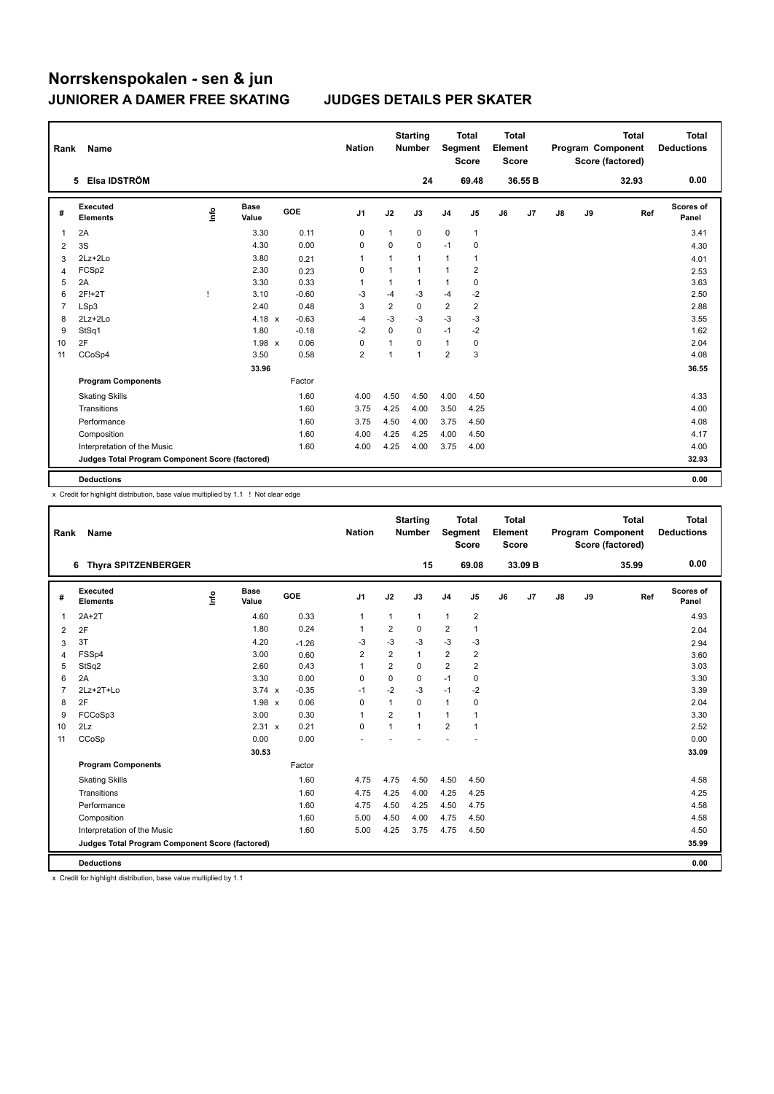| Rank           | Name                                            |      |                      |         | <b>Nation</b>           |                | <b>Starting</b><br><b>Number</b> |                         | <b>Total</b><br>Segment<br><b>Score</b> | <b>Total</b><br>Element<br>Score |                |               |    | <b>Total</b><br>Program Component<br>Score (factored) | <b>Total</b><br><b>Deductions</b> |
|----------------|-------------------------------------------------|------|----------------------|---------|-------------------------|----------------|----------------------------------|-------------------------|-----------------------------------------|----------------------------------|----------------|---------------|----|-------------------------------------------------------|-----------------------------------|
|                | 5 Elsa IDSTRÖM                                  |      |                      |         |                         |                | 24                               |                         | 69.48                                   |                                  | 36.55 B        |               |    | 32.93                                                 | 0.00                              |
| #              | Executed<br><b>Elements</b>                     | info | <b>Base</b><br>Value | GOE     | J <sub>1</sub>          | J2             | J3                               | J <sub>4</sub>          | J <sub>5</sub>                          | J6                               | J <sub>7</sub> | $\mathsf{J}8$ | J9 | Ref                                                   | <b>Scores of</b><br>Panel         |
| 1              | 2A                                              |      | 3.30                 | 0.11    | 0                       | $\mathbf{1}$   | 0                                | $\mathbf 0$             | $\mathbf{1}$                            |                                  |                |               |    |                                                       | 3.41                              |
| $\overline{2}$ | 3S                                              |      | 4.30                 | 0.00    | 0                       | 0              | 0                                | $-1$                    | 0                                       |                                  |                |               |    |                                                       | 4.30                              |
| 3              | 2Lz+2Lo                                         |      | 3.80                 | 0.21    | $\mathbf{1}$            | 1              | $\mathbf{1}$                     | 1                       | 1                                       |                                  |                |               |    |                                                       | 4.01                              |
| 4              | FCSp2                                           |      | 2.30                 | 0.23    | 0                       | $\mathbf{1}$   | $\mathbf{1}$                     | 1                       | $\overline{2}$                          |                                  |                |               |    |                                                       | 2.53                              |
| 5              | 2A                                              |      | 3.30                 | 0.33    | 1                       | 1              | 1                                | 1                       | 0                                       |                                  |                |               |    |                                                       | 3.63                              |
| 6              | 2F!+2T                                          |      | 3.10                 | $-0.60$ | $-3$                    | $-4$           | -3                               | $-4$                    | $-2$                                    |                                  |                |               |    |                                                       | 2.50                              |
| 7              | LSp3                                            |      | 2.40                 | 0.48    | 3                       | $\overline{2}$ | $\mathbf 0$                      | $\overline{2}$          | $\overline{2}$                          |                                  |                |               |    |                                                       | 2.88                              |
| 8              | 2Lz+2Lo                                         |      | $4.18 \times$        | $-0.63$ | $-4$                    | $-3$           | -3                               | $-3$                    | $-3$                                    |                                  |                |               |    |                                                       | 3.55                              |
| 9              | StSq1                                           |      | 1.80                 | $-0.18$ | $-2$                    | 0              | 0                                | $-1$                    | $-2$                                    |                                  |                |               |    |                                                       | 1.62                              |
| 10             | 2F                                              |      | $1.98 \times$        | 0.06    | 0                       | $\mathbf 1$    | 0                                | $\mathbf{1}$            | 0                                       |                                  |                |               |    |                                                       | 2.04                              |
| 11             | CCoSp4                                          |      | 3.50                 | 0.58    | $\overline{\mathbf{c}}$ | 1              | 1                                | $\overline{\mathbf{c}}$ | 3                                       |                                  |                |               |    |                                                       | 4.08                              |
|                |                                                 |      | 33.96                |         |                         |                |                                  |                         |                                         |                                  |                |               |    |                                                       | 36.55                             |
|                | <b>Program Components</b>                       |      |                      | Factor  |                         |                |                                  |                         |                                         |                                  |                |               |    |                                                       |                                   |
|                | <b>Skating Skills</b>                           |      |                      | 1.60    | 4.00                    | 4.50           | 4.50                             | 4.00                    | 4.50                                    |                                  |                |               |    |                                                       | 4.33                              |
|                | Transitions                                     |      |                      | 1.60    | 3.75                    | 4.25           | 4.00                             | 3.50                    | 4.25                                    |                                  |                |               |    |                                                       | 4.00                              |
|                | Performance                                     |      |                      | 1.60    | 3.75                    | 4.50           | 4.00                             | 3.75                    | 4.50                                    |                                  |                |               |    |                                                       | 4.08                              |
|                | Composition                                     |      |                      | 1.60    | 4.00                    | 4.25           | 4.25                             | 4.00                    | 4.50                                    |                                  |                |               |    |                                                       | 4.17                              |
|                | Interpretation of the Music                     |      |                      | 1.60    | 4.00                    | 4.25           | 4.00                             | 3.75                    | 4.00                                    |                                  |                |               |    |                                                       | 4.00                              |
|                | Judges Total Program Component Score (factored) |      |                      |         |                         |                |                                  |                         |                                         |                                  |                |               |    |                                                       | 32.93                             |
|                | <b>Deductions</b>                               |      |                      |         |                         |                |                                  |                         |                                         |                                  |                |               |    |                                                       | 0.00                              |

x Credit for highlight distribution, base value multiplied by 1.1 ! Not clear edge

| Rank           | <b>Name</b>                                     |      |                      |            | <b>Nation</b>  |                | <b>Starting</b><br><b>Number</b> | Segment        | <b>Total</b><br><b>Score</b> | <b>Total</b><br>Element<br><b>Score</b> |         |               |    | <b>Total</b><br>Program Component<br>Score (factored) | Total<br><b>Deductions</b> |
|----------------|-------------------------------------------------|------|----------------------|------------|----------------|----------------|----------------------------------|----------------|------------------------------|-----------------------------------------|---------|---------------|----|-------------------------------------------------------|----------------------------|
|                | <b>Thyra SPITZENBERGER</b><br>6                 |      |                      |            |                |                | 15                               |                | 69.08                        |                                         | 33.09 B |               |    | 35.99                                                 | 0.00                       |
| #              | Executed<br><b>Elements</b>                     | lnfo | <b>Base</b><br>Value | <b>GOE</b> | J <sub>1</sub> | J2             | J3                               | J <sub>4</sub> | J5                           | J6                                      | J7      | $\mathsf{J}8$ | J9 | Ref                                                   | Scores of<br>Panel         |
| $\mathbf{1}$   | $2A+2T$                                         |      | 4.60                 | 0.33       | 1              | 1              | 1                                | $\mathbf{1}$   | $\overline{\mathbf{c}}$      |                                         |         |               |    |                                                       | 4.93                       |
| 2              | 2F                                              |      | 1.80                 | 0.24       | $\mathbf{1}$   | $\overline{2}$ | 0                                | $\overline{2}$ | 1                            |                                         |         |               |    |                                                       | 2.04                       |
| 3              | 3T                                              |      | 4.20                 | $-1.26$    | $-3$           | $-3$           | $-3$                             | $-3$           | $-3$                         |                                         |         |               |    |                                                       | 2.94                       |
| 4              | FSSp4                                           |      | 3.00                 | 0.60       | 2              | 2              | $\mathbf{1}$                     | $\overline{2}$ | 2                            |                                         |         |               |    |                                                       | 3.60                       |
| 5              | StSq2                                           |      | 2.60                 | 0.43       | $\mathbf{1}$   | $\overline{2}$ | $\Omega$                         | $\overline{2}$ | $\overline{2}$               |                                         |         |               |    |                                                       | 3.03                       |
| 6              | 2A                                              |      | 3.30                 | 0.00       | 0              | 0              | 0                                | $-1$           | 0                            |                                         |         |               |    |                                                       | 3.30                       |
| $\overline{7}$ | 2Lz+2T+Lo                                       |      | $3.74 \times$        | $-0.35$    | -1             | $-2$           | $-3$                             | $-1$           | $-2$                         |                                         |         |               |    |                                                       | 3.39                       |
| 8              | 2F                                              |      | 1.98 x               | 0.06       | $\mathbf 0$    | 1              | 0                                | $\mathbf{1}$   | 0                            |                                         |         |               |    |                                                       | 2.04                       |
| 9              | FCCoSp3                                         |      | 3.00                 | 0.30       | $\mathbf{1}$   | $\overline{2}$ | 1                                | $\mathbf{1}$   | 1                            |                                         |         |               |    |                                                       | 3.30                       |
| 10             | 2Lz                                             |      | $2.31 \times$        | 0.21       | $\mathbf 0$    | 1              | 1                                | $\overline{2}$ | 1                            |                                         |         |               |    |                                                       | 2.52                       |
| 11             | CCoSp                                           |      | 0.00                 | 0.00       |                |                |                                  |                |                              |                                         |         |               |    |                                                       | 0.00                       |
|                |                                                 |      | 30.53                |            |                |                |                                  |                |                              |                                         |         |               |    |                                                       | 33.09                      |
|                | <b>Program Components</b>                       |      |                      | Factor     |                |                |                                  |                |                              |                                         |         |               |    |                                                       |                            |
|                | <b>Skating Skills</b>                           |      |                      | 1.60       | 4.75           | 4.75           | 4.50                             | 4.50           | 4.50                         |                                         |         |               |    |                                                       | 4.58                       |
|                | Transitions                                     |      |                      | 1.60       | 4.75           | 4.25           | 4.00                             | 4.25           | 4.25                         |                                         |         |               |    |                                                       | 4.25                       |
|                | Performance                                     |      |                      | 1.60       | 4.75           | 4.50           | 4.25                             | 4.50           | 4.75                         |                                         |         |               |    |                                                       | 4.58                       |
|                | Composition                                     |      |                      | 1.60       | 5.00           | 4.50           | 4.00                             | 4.75           | 4.50                         |                                         |         |               |    |                                                       | 4.58                       |
|                | Interpretation of the Music                     |      |                      | 1.60       | 5.00           | 4.25           | 3.75                             | 4.75           | 4.50                         |                                         |         |               |    |                                                       | 4.50                       |
|                | Judges Total Program Component Score (factored) |      |                      |            |                |                |                                  |                |                              |                                         |         |               |    |                                                       | 35.99                      |
|                | <b>Deductions</b>                               |      |                      |            |                |                |                                  |                |                              |                                         |         |               |    |                                                       | 0.00                       |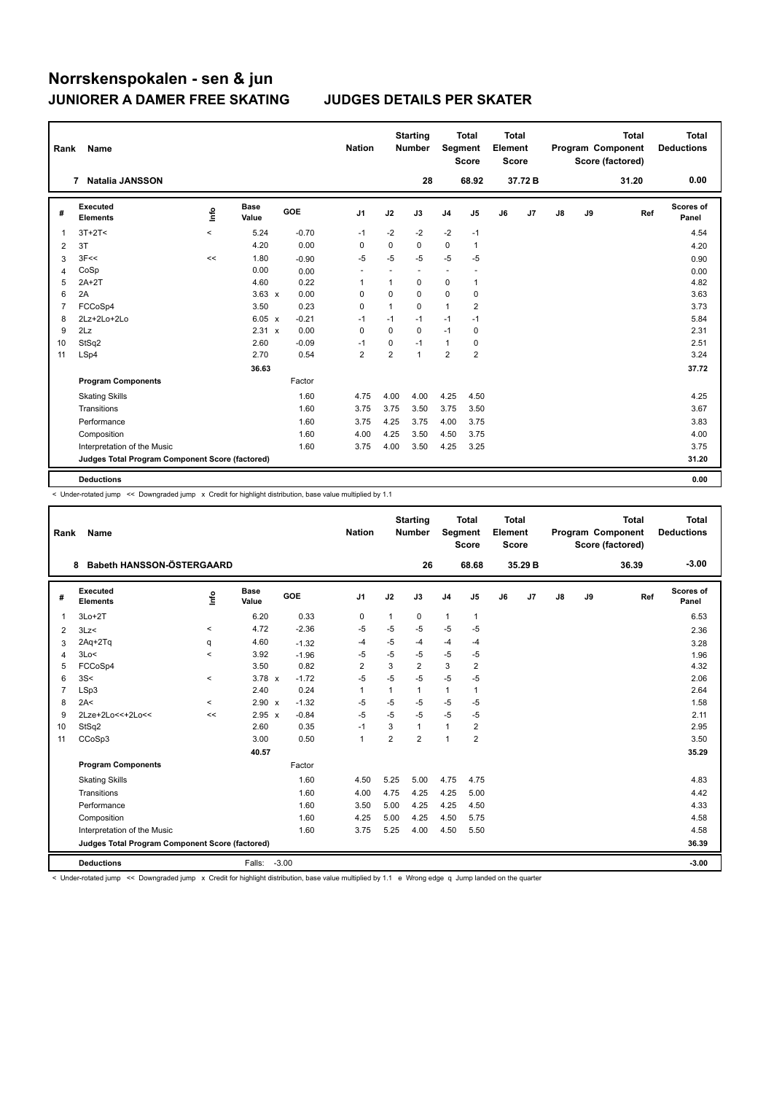| Rank           | Name                                            |         |                      |            | <b>Nation</b>  |                | <b>Starting</b><br><b>Number</b> | Segment                  | <b>Total</b><br><b>Score</b> | <b>Total</b><br>Element<br><b>Score</b> |        |    |    | <b>Total</b><br>Program Component<br>Score (factored) | <b>Total</b><br><b>Deductions</b> |
|----------------|-------------------------------------------------|---------|----------------------|------------|----------------|----------------|----------------------------------|--------------------------|------------------------------|-----------------------------------------|--------|----|----|-------------------------------------------------------|-----------------------------------|
|                | <b>Natalia JANSSON</b><br>$\overline{7}$        |         |                      |            |                |                | 28                               |                          | 68.92                        |                                         | 37.72B |    |    | 31.20                                                 | 0.00                              |
| #              | <b>Executed</b><br><b>Elements</b>              | Info    | <b>Base</b><br>Value | <b>GOE</b> | J <sub>1</sub> | J2             | J3                               | J <sub>4</sub>           | J5                           | J6                                      | J7     | J8 | J9 | Ref                                                   | Scores of<br>Panel                |
| 1              | $3T+2T<$                                        | $\,<\,$ | 5.24                 | $-0.70$    | $-1$           | $-2$           | $-2$                             | $-2$                     | $-1$                         |                                         |        |    |    |                                                       | 4.54                              |
| $\overline{2}$ | 3T                                              |         | 4.20                 | 0.00       | 0              | 0              | $\Omega$                         | 0                        | $\mathbf{1}$                 |                                         |        |    |    |                                                       | 4.20                              |
| 3              | 3F<<                                            | <<      | 1.80                 | $-0.90$    | $-5$           | $-5$           | $-5$                             | $-5$                     | -5                           |                                         |        |    |    |                                                       | 0.90                              |
| 4              | CoSp                                            |         | 0.00                 | 0.00       | ٠              | ٠              |                                  | $\overline{\phantom{a}}$ | ٠                            |                                         |        |    |    |                                                       | 0.00                              |
| 5              | $2A+2T$                                         |         | 4.60                 | 0.22       | 1              | 1              | 0                                | 0                        | 1                            |                                         |        |    |    |                                                       | 4.82                              |
| 6              | 2A                                              |         | $3.63 \times$        | 0.00       | $\Omega$       | $\Omega$       | $\Omega$                         | 0                        | 0                            |                                         |        |    |    |                                                       | 3.63                              |
| $\overline{7}$ | FCCoSp4                                         |         | 3.50                 | 0.23       | 0              | 1              | 0                                | $\mathbf{1}$             | 2                            |                                         |        |    |    |                                                       | 3.73                              |
| 8              | 2Lz+2Lo+2Lo                                     |         | 6.05 x               | $-0.21$    | $-1$           | $-1$           | $-1$                             | $-1$                     | $-1$                         |                                         |        |    |    |                                                       | 5.84                              |
| 9              | 2Lz                                             |         | 2.31 x               | 0.00       | $\Omega$       | $\Omega$       | $\Omega$                         | $-1$                     | 0                            |                                         |        |    |    |                                                       | 2.31                              |
| 10             | StSq2                                           |         | 2.60                 | $-0.09$    | $-1$           | 0              | $-1$                             | $\mathbf{1}$             | 0                            |                                         |        |    |    |                                                       | 2.51                              |
| 11             | LSp4                                            |         | 2.70                 | 0.54       | 2              | $\overline{2}$ | $\mathbf{1}$                     | $\overline{\mathbf{c}}$  | 2                            |                                         |        |    |    |                                                       | 3.24                              |
|                |                                                 |         | 36.63                |            |                |                |                                  |                          |                              |                                         |        |    |    |                                                       | 37.72                             |
|                | <b>Program Components</b>                       |         |                      | Factor     |                |                |                                  |                          |                              |                                         |        |    |    |                                                       |                                   |
|                | <b>Skating Skills</b>                           |         |                      | 1.60       | 4.75           | 4.00           | 4.00                             | 4.25                     | 4.50                         |                                         |        |    |    |                                                       | 4.25                              |
|                | Transitions                                     |         |                      | 1.60       | 3.75           | 3.75           | 3.50                             | 3.75                     | 3.50                         |                                         |        |    |    |                                                       | 3.67                              |
|                | Performance                                     |         |                      | 1.60       | 3.75           | 4.25           | 3.75                             | 4.00                     | 3.75                         |                                         |        |    |    |                                                       | 3.83                              |
|                | Composition                                     |         |                      | 1.60       | 4.00           | 4.25           | 3.50                             | 4.50                     | 3.75                         |                                         |        |    |    |                                                       | 4.00                              |
|                | Interpretation of the Music                     |         |                      | 1.60       | 3.75           | 4.00           | 3.50                             | 4.25                     | 3.25                         |                                         |        |    |    |                                                       | 3.75                              |
|                | Judges Total Program Component Score (factored) |         |                      |            |                |                |                                  |                          |                              |                                         |        |    |    |                                                       | 31.20                             |
|                | <b>Deductions</b>                               |         |                      |            |                |                |                                  |                          |                              |                                         |        |    |    |                                                       | 0.00                              |

< Under-rotated jump << Downgraded jump x Credit for highlight distribution, base value multiplied by 1.1

| Rank           | <b>Name</b>                                     |             |                      |         | <b>Nation</b>  |                | <b>Starting</b><br><b>Number</b> | Segment        | <b>Total</b><br><b>Score</b> | Total<br>Element<br><b>Score</b> |         |    |    | <b>Total</b><br>Program Component<br>Score (factored) | <b>Total</b><br><b>Deductions</b> |
|----------------|-------------------------------------------------|-------------|----------------------|---------|----------------|----------------|----------------------------------|----------------|------------------------------|----------------------------------|---------|----|----|-------------------------------------------------------|-----------------------------------|
|                | Babeth HANSSON-ÖSTERGAARD<br>8                  |             |                      |         |                |                | 26                               |                | 68.68                        |                                  | 35.29 B |    |    | 36.39                                                 | $-3.00$                           |
| #              | Executed<br><b>Elements</b>                     | <u>info</u> | <b>Base</b><br>Value | GOE     | J <sub>1</sub> | J2             | J3                               | J <sub>4</sub> | J5                           | J6                               | J7      | J8 | J9 | Ref                                                   | <b>Scores of</b><br>Panel         |
| $\mathbf{1}$   | $3Lo+2T$                                        |             | 6.20                 | 0.33    | $\mathbf 0$    | $\mathbf{1}$   | 0                                | $\mathbf{1}$   | $\mathbf{1}$                 |                                  |         |    |    |                                                       | 6.53                              |
| 2              | 3Lz                                             | $\,<\,$     | 4.72                 | $-2.36$ | -5             | $-5$           | $-5$                             | $-5$           | $-5$                         |                                  |         |    |    |                                                       | 2.36                              |
| 3              | $2Aq+2Tq$                                       | q           | 4.60                 | $-1.32$ | $-4$           | $-5$           | $-4$                             | $-4$           | $-4$                         |                                  |         |    |    |                                                       | 3.28                              |
| 4              | 3Lo<                                            | $\prec$     | 3.92                 | $-1.96$ | -5             | $-5$           | $-5$                             | $-5$           | $-5$                         |                                  |         |    |    |                                                       | 1.96                              |
| 5              | FCCoSp4                                         |             | 3.50                 | 0.82    | $\overline{2}$ | 3              | $\overline{2}$                   | 3              | $\overline{2}$               |                                  |         |    |    |                                                       | 4.32                              |
| 6              | 3S<                                             | $\prec$     | $3.78 \times$        | $-1.72$ | -5             | $-5$           | $-5$                             | $-5$           | $-5$                         |                                  |         |    |    |                                                       | 2.06                              |
| $\overline{7}$ | LSp3                                            |             | 2.40                 | 0.24    | 1              | $\mathbf{1}$   | 1                                | $\mathbf{1}$   | 1                            |                                  |         |    |    |                                                       | 2.64                              |
| 8              | 2A<                                             | $\prec$     | 2.90 x               | $-1.32$ | -5             | $-5$           | $-5$                             | $-5$           | $-5$                         |                                  |         |    |    |                                                       | 1.58                              |
| 9              | 2Lze+2Lo<<+2Lo<<                                | <<          | $2.95 \times$        | $-0.84$ | -5             | $-5$           | $-5$                             | $-5$           | $-5$                         |                                  |         |    |    |                                                       | 2.11                              |
| 10             | StSq2                                           |             | 2.60                 | 0.35    | $-1$           | 3              | 1                                | $\mathbf{1}$   | 2                            |                                  |         |    |    |                                                       | 2.95                              |
| 11             | CCoSp3                                          |             | 3.00                 | 0.50    | $\mathbf{1}$   | $\overline{2}$ | $\overline{2}$                   | $\overline{1}$ | $\overline{2}$               |                                  |         |    |    |                                                       | 3.50                              |
|                |                                                 |             | 40.57                |         |                |                |                                  |                |                              |                                  |         |    |    |                                                       | 35.29                             |
|                | <b>Program Components</b>                       |             |                      | Factor  |                |                |                                  |                |                              |                                  |         |    |    |                                                       |                                   |
|                | <b>Skating Skills</b>                           |             |                      | 1.60    | 4.50           | 5.25           | 5.00                             | 4.75           | 4.75                         |                                  |         |    |    |                                                       | 4.83                              |
|                | Transitions                                     |             |                      | 1.60    | 4.00           | 4.75           | 4.25                             | 4.25           | 5.00                         |                                  |         |    |    |                                                       | 4.42                              |
|                | Performance                                     |             |                      | 1.60    | 3.50           | 5.00           | 4.25                             | 4.25           | 4.50                         |                                  |         |    |    |                                                       | 4.33                              |
|                | Composition                                     |             |                      | 1.60    | 4.25           | 5.00           | 4.25                             | 4.50           | 5.75                         |                                  |         |    |    |                                                       | 4.58                              |
|                | Interpretation of the Music                     |             |                      | 1.60    | 3.75           | 5.25           | 4.00                             | 4.50           | 5.50                         |                                  |         |    |    |                                                       | 4.58                              |
|                | Judges Total Program Component Score (factored) |             |                      |         |                |                |                                  |                |                              |                                  |         |    |    |                                                       | 36.39                             |
|                | <b>Deductions</b>                               |             | Falls:               | $-3.00$ |                |                |                                  |                |                              |                                  |         |    |    |                                                       | $-3.00$                           |

< Under-rotated jump << Downgraded jump x Credit for highlight distribution, base value multiplied by 1.1 e Wrong edge q Jump landed on the quarter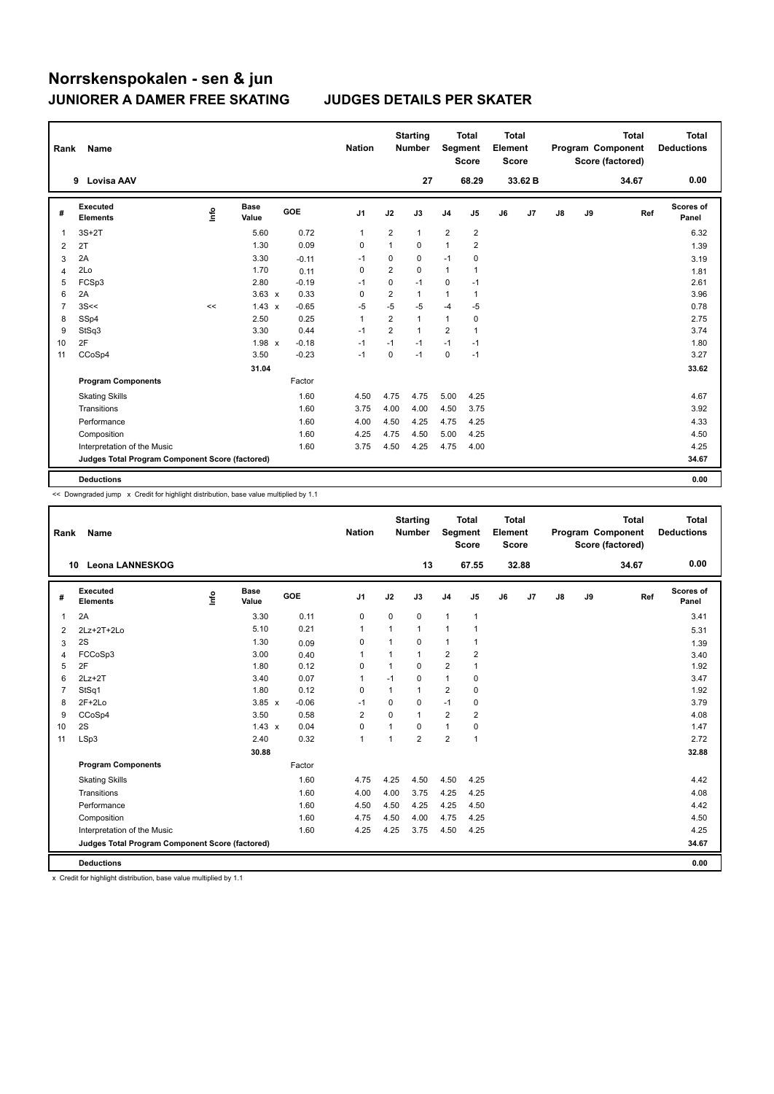| Rank | Name                                            |      |                      |         | <b>Nation</b>  |                | <b>Starting</b><br><b>Number</b> | Segment        | Total<br><b>Score</b> | <b>Total</b><br>Element<br><b>Score</b> |         |               |    | <b>Total</b><br>Program Component<br>Score (factored) | <b>Total</b><br><b>Deductions</b> |
|------|-------------------------------------------------|------|----------------------|---------|----------------|----------------|----------------------------------|----------------|-----------------------|-----------------------------------------|---------|---------------|----|-------------------------------------------------------|-----------------------------------|
|      | <b>Lovisa AAV</b><br>9                          |      |                      |         |                |                | 27                               |                | 68.29                 |                                         | 33.62 B |               |    | 34.67                                                 | 0.00                              |
| #    | <b>Executed</b><br><b>Elements</b>              | lnfo | <b>Base</b><br>Value | GOE     | J <sub>1</sub> | J2             | J3                               | J <sub>4</sub> | J5                    | J6                                      | J7      | $\mathsf{J}8$ | J9 | Ref                                                   | Scores of<br>Panel                |
| 1    | $3S+2T$                                         |      | 5.60                 | 0.72    | $\mathbf 1$    | $\overline{2}$ | 1                                | $\overline{2}$ | $\boldsymbol{2}$      |                                         |         |               |    |                                                       | 6.32                              |
| 2    | 2T                                              |      | 1.30                 | 0.09    | 0              | 1              | 0                                | 1              | $\overline{2}$        |                                         |         |               |    |                                                       | 1.39                              |
| 3    | 2A                                              |      | 3.30                 | $-0.11$ | $-1$           | 0              | 0                                | $-1$           | 0                     |                                         |         |               |    |                                                       | 3.19                              |
| 4    | 2Lo                                             |      | 1.70                 | 0.11    | 0              | $\overline{2}$ | $\mathbf 0$                      | $\mathbf{1}$   | $\mathbf{1}$          |                                         |         |               |    |                                                       | 1.81                              |
| 5    | FCSp3                                           |      | 2.80                 | $-0.19$ | $-1$           | 0              | $-1$                             | 0              | $-1$                  |                                         |         |               |    |                                                       | 2.61                              |
| 6    | 2A                                              |      | $3.63 \times$        | 0.33    | 0              | 2              | 1                                | 1              | $\mathbf{1}$          |                                         |         |               |    |                                                       | 3.96                              |
| 7    | 3S<<                                            | <<   | $1.43 \times$        | $-0.65$ | $-5$           | $-5$           | $-5$                             | $-4$           | $-5$                  |                                         |         |               |    |                                                       | 0.78                              |
| 8    | SSp4                                            |      | 2.50                 | 0.25    | $\mathbf{1}$   | $\overline{2}$ | $\mathbf{1}$                     | 1              | $\mathbf 0$           |                                         |         |               |    |                                                       | 2.75                              |
| 9    | StSq3                                           |      | 3.30                 | 0.44    | $-1$           | $\overline{2}$ | $\mathbf{1}$                     | $\overline{2}$ | $\overline{1}$        |                                         |         |               |    |                                                       | 3.74                              |
| 10   | 2F                                              |      | $1.98 \times$        | $-0.18$ | $-1$           | $-1$           | $-1$                             | $-1$           | $-1$                  |                                         |         |               |    |                                                       | 1.80                              |
| 11   | CCoSp4                                          |      | 3.50                 | $-0.23$ | $-1$           | 0              | $-1$                             | 0              | $-1$                  |                                         |         |               |    |                                                       | 3.27                              |
|      |                                                 |      | 31.04                |         |                |                |                                  |                |                       |                                         |         |               |    |                                                       | 33.62                             |
|      | <b>Program Components</b>                       |      |                      | Factor  |                |                |                                  |                |                       |                                         |         |               |    |                                                       |                                   |
|      | <b>Skating Skills</b>                           |      |                      | 1.60    | 4.50           | 4.75           | 4.75                             | 5.00           | 4.25                  |                                         |         |               |    |                                                       | 4.67                              |
|      | Transitions                                     |      |                      | 1.60    | 3.75           | 4.00           | 4.00                             | 4.50           | 3.75                  |                                         |         |               |    |                                                       | 3.92                              |
|      | Performance                                     |      |                      | 1.60    | 4.00           | 4.50           | 4.25                             | 4.75           | 4.25                  |                                         |         |               |    |                                                       | 4.33                              |
|      | Composition                                     |      |                      | 1.60    | 4.25           | 4.75           | 4.50                             | 5.00           | 4.25                  |                                         |         |               |    |                                                       | 4.50                              |
|      | Interpretation of the Music                     |      |                      | 1.60    | 3.75           | 4.50           | 4.25                             | 4.75           | 4.00                  |                                         |         |               |    |                                                       | 4.25                              |
|      | Judges Total Program Component Score (factored) |      |                      |         |                |                |                                  |                |                       |                                         |         |               |    |                                                       | 34.67                             |
|      | <b>Deductions</b>                               |      |                      |         |                |                |                                  |                |                       |                                         |         |               |    |                                                       | 0.00                              |

<< Downgraded jump x Credit for highlight distribution, base value multiplied by 1.1

| Rank           | Name                                            |      |                      |         | <b>Nation</b>  |                | <b>Starting</b><br><b>Number</b> | <b>Segment</b> | <b>Total</b><br><b>Score</b> | Total<br>Element<br><b>Score</b> |       |               |    | <b>Total</b><br>Program Component<br>Score (factored) | <b>Total</b><br><b>Deductions</b> |
|----------------|-------------------------------------------------|------|----------------------|---------|----------------|----------------|----------------------------------|----------------|------------------------------|----------------------------------|-------|---------------|----|-------------------------------------------------------|-----------------------------------|
| 10             | <b>Leona LANNESKOG</b>                          |      |                      |         |                |                | 13                               |                | 67.55                        |                                  | 32.88 |               |    | 34.67                                                 | 0.00                              |
| #              | Executed<br><b>Elements</b>                     | info | <b>Base</b><br>Value | GOE     | J <sub>1</sub> | J2             | J3                               | J <sub>4</sub> | J5                           | J6                               | J7    | $\mathsf{J}8$ | J9 | Ref                                                   | Scores of<br>Panel                |
| 1              | 2A                                              |      | 3.30                 | 0.11    | 0              | $\mathbf 0$    | 0                                | $\mathbf{1}$   | $\mathbf{1}$                 |                                  |       |               |    |                                                       | 3.41                              |
| 2              | 2Lz+2T+2Lo                                      |      | 5.10                 | 0.21    | 1              | 1              | $\mathbf 1$                      | 1              | 1                            |                                  |       |               |    |                                                       | 5.31                              |
| 3              | 2S                                              |      | 1.30                 | 0.09    | $\mathbf 0$    | 1              | 0                                | $\mathbf{1}$   | 1                            |                                  |       |               |    |                                                       | 1.39                              |
| 4              | FCCoSp3                                         |      | 3.00                 | 0.40    | 1              |                | 1                                | $\overline{2}$ | 2                            |                                  |       |               |    |                                                       | 3.40                              |
| 5              | 2F                                              |      | 1.80                 | 0.12    | $\Omega$       | 1              | 0                                | $\overline{2}$ | $\mathbf 1$                  |                                  |       |               |    |                                                       | 1.92                              |
| 6              | $2Lz+2T$                                        |      | 3.40                 | 0.07    | 1              | $-1$           | 0                                | $\mathbf{1}$   | 0                            |                                  |       |               |    |                                                       | 3.47                              |
| $\overline{7}$ | StSq1                                           |      | 1.80                 | 0.12    | $\mathbf 0$    | $\mathbf{1}$   | 1                                | $\overline{2}$ | 0                            |                                  |       |               |    |                                                       | 1.92                              |
| 8              | $2F+2Lo$                                        |      | $3.85 \times$        | $-0.06$ | $-1$           | 0              | 0                                | $-1$           | 0                            |                                  |       |               |    |                                                       | 3.79                              |
| 9              | CCoSp4                                          |      | 3.50                 | 0.58    | 2              | 0              | $\mathbf{1}$                     | $\overline{2}$ | $\overline{\mathbf{c}}$      |                                  |       |               |    |                                                       | 4.08                              |
| 10             | 2S                                              |      | $1.43 \times$        | 0.04    | $\mathbf 0$    | $\mathbf 1$    | 0                                | $\mathbf{1}$   | 0                            |                                  |       |               |    |                                                       | 1.47                              |
| 11             | LSp3                                            |      | 2.40                 | 0.32    | $\mathbf{1}$   | $\overline{1}$ | $\overline{2}$                   | $\overline{2}$ | 1                            |                                  |       |               |    |                                                       | 2.72                              |
|                |                                                 |      | 30.88                |         |                |                |                                  |                |                              |                                  |       |               |    |                                                       | 32.88                             |
|                | <b>Program Components</b>                       |      |                      | Factor  |                |                |                                  |                |                              |                                  |       |               |    |                                                       |                                   |
|                | <b>Skating Skills</b>                           |      |                      | 1.60    | 4.75           | 4.25           | 4.50                             | 4.50           | 4.25                         |                                  |       |               |    |                                                       | 4.42                              |
|                | Transitions                                     |      |                      | 1.60    | 4.00           | 4.00           | 3.75                             | 4.25           | 4.25                         |                                  |       |               |    |                                                       | 4.08                              |
|                | Performance                                     |      |                      | 1.60    | 4.50           | 4.50           | 4.25                             | 4.25           | 4.50                         |                                  |       |               |    |                                                       | 4.42                              |
|                | Composition                                     |      |                      | 1.60    | 4.75           | 4.50           | 4.00                             | 4.75           | 4.25                         |                                  |       |               |    |                                                       | 4.50                              |
|                | Interpretation of the Music                     |      |                      | 1.60    | 4.25           | 4.25           | 3.75                             | 4.50           | 4.25                         |                                  |       |               |    |                                                       | 4.25                              |
|                | Judges Total Program Component Score (factored) |      |                      |         |                |                |                                  |                |                              |                                  |       |               |    |                                                       | 34.67                             |
|                | <b>Deductions</b>                               |      |                      |         |                |                |                                  |                |                              |                                  |       |               |    |                                                       | 0.00                              |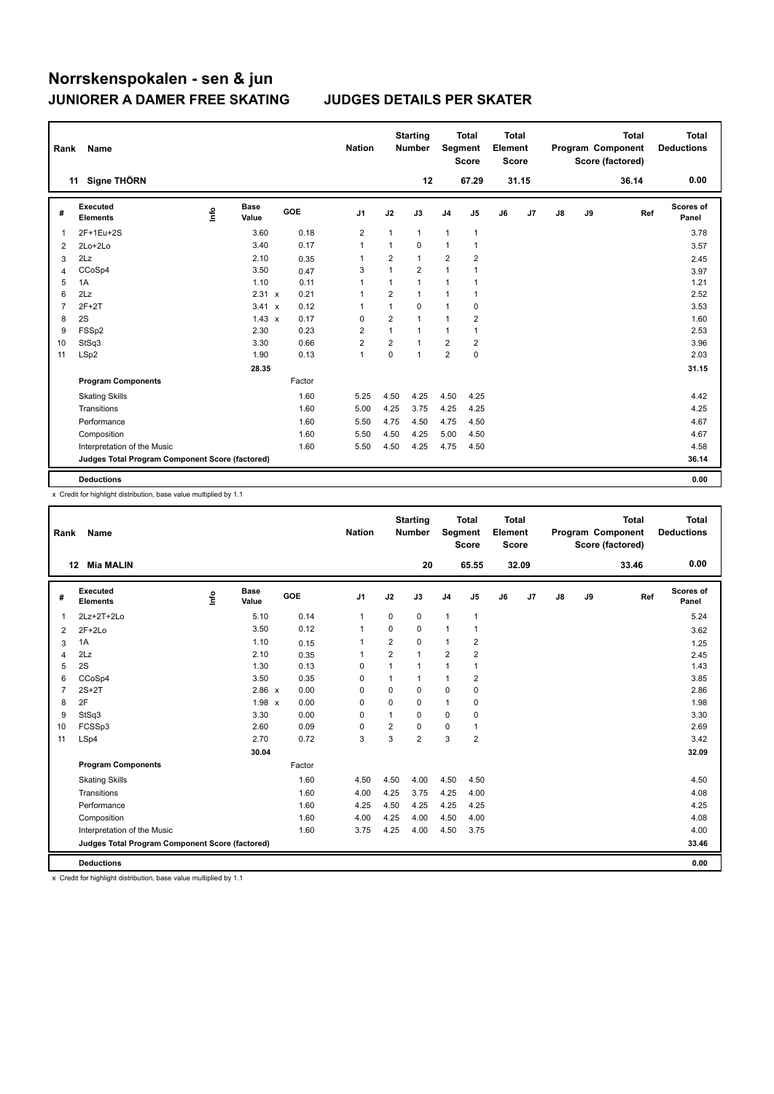| Rank           | Name                                            |    |                      |        | <b>Nation</b>  |                | <b>Starting</b><br><b>Number</b> |                         | <b>Total</b><br>Segment<br><b>Score</b> | <b>Total</b><br>Element<br><b>Score</b> |       |               |    | <b>Total</b><br>Program Component<br>Score (factored) | <b>Total</b><br><b>Deductions</b> |
|----------------|-------------------------------------------------|----|----------------------|--------|----------------|----------------|----------------------------------|-------------------------|-----------------------------------------|-----------------------------------------|-------|---------------|----|-------------------------------------------------------|-----------------------------------|
|                | Signe THÖRN<br>11                               |    |                      |        |                |                | 12                               |                         | 67.29                                   |                                         | 31.15 |               |    | 36.14                                                 | 0.00                              |
| #              | Executed<br><b>Elements</b>                     | ۴٥ | <b>Base</b><br>Value | GOE    | J <sub>1</sub> | J2             | J3                               | J <sub>4</sub>          | J <sub>5</sub>                          | J6                                      | J7    | $\mathsf{J}8$ | J9 | Ref                                                   | Scores of<br>Panel                |
| -1             | 2F+1Eu+2S                                       |    | 3.60                 | 0.18   | $\overline{2}$ | $\mathbf{1}$   | $\mathbf{1}$                     | $\mathbf{1}$            | $\mathbf{1}$                            |                                         |       |               |    |                                                       | 3.78                              |
| $\overline{2}$ | $2Lo+2Lo$                                       |    | 3.40                 | 0.17   | 1              | $\mathbf{1}$   | 0                                | $\mathbf{1}$            | $\overline{1}$                          |                                         |       |               |    |                                                       | 3.57                              |
| 3              | 2Lz                                             |    | 2.10                 | 0.35   | 1              | $\overline{2}$ | $\mathbf{1}$                     | $\overline{2}$          | $\overline{2}$                          |                                         |       |               |    |                                                       | 2.45                              |
| 4              | CCoSp4                                          |    | 3.50                 | 0.47   | 3              | $\overline{1}$ | $\overline{2}$                   | $\mathbf{1}$            | 1                                       |                                         |       |               |    |                                                       | 3.97                              |
| 5              | 1A                                              |    | 1.10                 | 0.11   | 1              | 1              | $\mathbf{1}$                     | 1                       |                                         |                                         |       |               |    |                                                       | 1.21                              |
| 6              | 2Lz                                             |    | 2.31 x               | 0.21   | 1              | $\overline{2}$ | $\mathbf{1}$                     | 1                       |                                         |                                         |       |               |    |                                                       | 2.52                              |
| 7              | $2F+2T$                                         |    | 3.41 x               | 0.12   | 1              | 1              | $\mathbf 0$                      | $\mathbf{1}$            | 0                                       |                                         |       |               |    |                                                       | 3.53                              |
| 8              | 2S                                              |    | $1.43 \times$        | 0.17   | 0              | 2              | $\mathbf{1}$                     | 1                       | 2                                       |                                         |       |               |    |                                                       | 1.60                              |
| 9              | FSSp2                                           |    | 2.30                 | 0.23   | 2              | 1              | $\mathbf{1}$                     | 1                       |                                         |                                         |       |               |    |                                                       | 2.53                              |
| 10             | StSq3                                           |    | 3.30                 | 0.66   | $\overline{2}$ | $\overline{2}$ | $\overline{1}$                   | $\overline{2}$          | $\overline{2}$                          |                                         |       |               |    |                                                       | 3.96                              |
| 11             | LSp2                                            |    | 1.90                 | 0.13   | 1              | 0              | $\mathbf 1$                      | $\overline{\mathbf{c}}$ | $\mathbf 0$                             |                                         |       |               |    |                                                       | 2.03                              |
|                |                                                 |    | 28.35                |        |                |                |                                  |                         |                                         |                                         |       |               |    |                                                       | 31.15                             |
|                | <b>Program Components</b>                       |    |                      | Factor |                |                |                                  |                         |                                         |                                         |       |               |    |                                                       |                                   |
|                | <b>Skating Skills</b>                           |    |                      | 1.60   | 5.25           | 4.50           | 4.25                             | 4.50                    | 4.25                                    |                                         |       |               |    |                                                       | 4.42                              |
|                | Transitions                                     |    |                      | 1.60   | 5.00           | 4.25           | 3.75                             | 4.25                    | 4.25                                    |                                         |       |               |    |                                                       | 4.25                              |
|                | Performance                                     |    |                      | 1.60   | 5.50           | 4.75           | 4.50                             | 4.75                    | 4.50                                    |                                         |       |               |    |                                                       | 4.67                              |
|                | Composition                                     |    |                      | 1.60   | 5.50           | 4.50           | 4.25                             | 5.00                    | 4.50                                    |                                         |       |               |    |                                                       | 4.67                              |
|                | Interpretation of the Music                     |    |                      | 1.60   | 5.50           | 4.50           | 4.25                             | 4.75                    | 4.50                                    |                                         |       |               |    |                                                       | 4.58                              |
|                | Judges Total Program Component Score (factored) |    |                      |        |                |                |                                  |                         |                                         |                                         |       |               |    |                                                       | 36.14                             |
|                | <b>Deductions</b>                               |    |                      |        |                |                |                                  |                         |                                         |                                         |       |               |    |                                                       | 0.00                              |

x Credit for highlight distribution, base value multiplied by 1.1

| Rank           | Name                                            |      |                      |            | <b>Nation</b>  |                | <b>Starting</b><br><b>Number</b> | Segment        | <b>Total</b><br><b>Score</b> | Total<br>Element<br><b>Score</b> |                |               |    | <b>Total</b><br>Program Component<br>Score (factored) | <b>Total</b><br><b>Deductions</b> |
|----------------|-------------------------------------------------|------|----------------------|------------|----------------|----------------|----------------------------------|----------------|------------------------------|----------------------------------|----------------|---------------|----|-------------------------------------------------------|-----------------------------------|
|                | <b>Mia MALIN</b><br>12                          |      |                      |            |                |                | 20                               |                | 65.55                        |                                  | 32.09          |               |    | 33.46                                                 | 0.00                              |
| #              | Executed<br><b>Elements</b>                     | ١rfo | <b>Base</b><br>Value | <b>GOE</b> | J <sub>1</sub> | J2             | J3                               | J <sub>4</sub> | J <sub>5</sub>               | J6                               | J <sub>7</sub> | $\mathsf{J}8$ | J9 | Ref                                                   | Scores of<br>Panel                |
| 1              | 2Lz+2T+2Lo                                      |      | 5.10                 | 0.14       | $\mathbf{1}$   | 0              | 0                                | $\mathbf{1}$   | 1                            |                                  |                |               |    |                                                       | 5.24                              |
| 2              | $2F+2Lo$                                        |      | 3.50                 | 0.12       | $\mathbf{1}$   | 0              | $\Omega$                         | $\mathbf{1}$   | 1                            |                                  |                |               |    |                                                       | 3.62                              |
| 3              | 1A                                              |      | 1.10                 | 0.15       | 1              | $\overline{2}$ | $\Omega$                         | $\mathbf{1}$   | $\overline{2}$               |                                  |                |               |    |                                                       | 1.25                              |
| $\overline{4}$ | 2Lz                                             |      | 2.10                 | 0.35       | 1              | $\overline{2}$ | $\mathbf{1}$                     | $\overline{2}$ | $\overline{2}$               |                                  |                |               |    |                                                       | 2.45                              |
| 5              | 2S                                              |      | 1.30                 | 0.13       | $\Omega$       | $\mathbf{1}$   | $\overline{1}$                   | $\mathbf{1}$   | 1                            |                                  |                |               |    |                                                       | 1.43                              |
| 6              | CCoSp4                                          |      | 3.50                 | 0.35       | $\Omega$       | 1              | 1                                | $\mathbf{1}$   | 2                            |                                  |                |               |    |                                                       | 3.85                              |
| $\overline{7}$ | $2S+2T$                                         |      | $2.86 \times$        | 0.00       | $\Omega$       | 0              | $\Omega$                         | 0              | 0                            |                                  |                |               |    |                                                       | 2.86                              |
| 8              | 2F                                              |      | $1.98 \times$        | 0.00       | $\Omega$       | $\Omega$       | $\Omega$                         | $\mathbf{1}$   | 0                            |                                  |                |               |    |                                                       | 1.98                              |
| 9              | StSq3                                           |      | 3.30                 | 0.00       | 0              | 1              | $\Omega$                         | 0              | 0                            |                                  |                |               |    |                                                       | 3.30                              |
| 10             | FCSSp3                                          |      | 2.60                 | 0.09       | 0              | 2              | $\Omega$                         | 0              | 1                            |                                  |                |               |    |                                                       | 2.69                              |
| 11             | LSp4                                            |      | 2.70                 | 0.72       | 3              | 3              | $\overline{2}$                   | 3              | 2                            |                                  |                |               |    |                                                       | 3.42                              |
|                |                                                 |      | 30.04                |            |                |                |                                  |                |                              |                                  |                |               |    |                                                       | 32.09                             |
|                | <b>Program Components</b>                       |      |                      | Factor     |                |                |                                  |                |                              |                                  |                |               |    |                                                       |                                   |
|                | <b>Skating Skills</b>                           |      |                      | 1.60       | 4.50           | 4.50           | 4.00                             | 4.50           | 4.50                         |                                  |                |               |    |                                                       | 4.50                              |
|                | Transitions                                     |      |                      | 1.60       | 4.00           | 4.25           | 3.75                             | 4.25           | 4.00                         |                                  |                |               |    |                                                       | 4.08                              |
|                | Performance                                     |      |                      | 1.60       | 4.25           | 4.50           | 4.25                             | 4.25           | 4.25                         |                                  |                |               |    |                                                       | 4.25                              |
|                | Composition                                     |      |                      | 1.60       | 4.00           | 4.25           | 4.00                             | 4.50           | 4.00                         |                                  |                |               |    |                                                       | 4.08                              |
|                | Interpretation of the Music                     |      |                      | 1.60       | 3.75           | 4.25           | 4.00                             | 4.50           | 3.75                         |                                  |                |               |    |                                                       | 4.00                              |
|                | Judges Total Program Component Score (factored) |      |                      |            |                |                |                                  |                |                              |                                  |                |               |    |                                                       | 33.46                             |
|                | <b>Deductions</b>                               |      |                      |            |                |                |                                  |                |                              |                                  |                |               |    |                                                       | 0.00                              |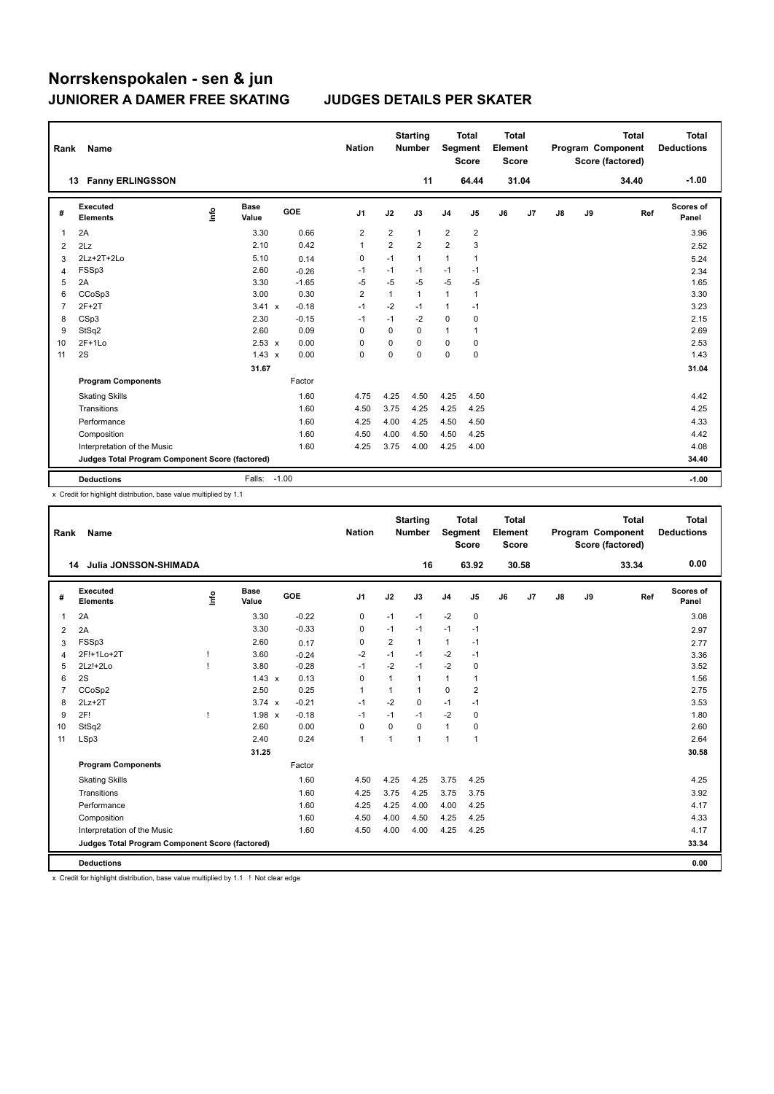| Rank           | Name                                            |    |                      |            | <b>Nation</b>  |                | <b>Starting</b><br><b>Number</b> | Segment        | <b>Total</b><br><b>Score</b> | <b>Total</b><br>Element<br><b>Score</b> |       |               |    | <b>Total</b><br>Program Component<br>Score (factored) | <b>Total</b><br><b>Deductions</b> |
|----------------|-------------------------------------------------|----|----------------------|------------|----------------|----------------|----------------------------------|----------------|------------------------------|-----------------------------------------|-------|---------------|----|-------------------------------------------------------|-----------------------------------|
|                | 13 Fanny ERLINGSSON                             |    |                      |            |                |                | 11                               |                | 64.44                        |                                         | 31.04 |               |    | 34.40                                                 | $-1.00$                           |
| #              | Executed<br><b>Elements</b>                     | ۴٥ | <b>Base</b><br>Value | <b>GOE</b> | J <sub>1</sub> | J2             | J3                               | J <sub>4</sub> | J5                           | J6                                      | J7    | $\mathsf{J}8$ | J9 | Ref                                                   | Scores of<br>Panel                |
| 1              | 2A                                              |    | 3.30                 | 0.66       | 2              | $\overline{2}$ | $\mathbf{1}$                     | $\overline{2}$ | $\overline{2}$               |                                         |       |               |    |                                                       | 3.96                              |
| $\overline{2}$ | 2Lz                                             |    | 2.10                 | 0.42       | 1              | $\overline{2}$ | $\overline{2}$                   | $\overline{2}$ | 3                            |                                         |       |               |    |                                                       | 2.52                              |
| 3              | $2Lz+2T+2Lo$                                    |    | 5.10                 | 0.14       | 0              | $-1$           | $\mathbf{1}$                     | 1              | 1                            |                                         |       |               |    |                                                       | 5.24                              |
| 4              | FSSp3                                           |    | 2.60                 | $-0.26$    | $-1$           | $-1$           | $-1$                             | $-1$           | $-1$                         |                                         |       |               |    |                                                       | 2.34                              |
| 5              | 2A                                              |    | 3.30                 | $-1.65$    | $-5$           | $-5$           | $-5$                             | $-5$           | $-5$                         |                                         |       |               |    |                                                       | 1.65                              |
| 6              | CCoSp3                                          |    | 3.00                 | 0.30       | $\overline{2}$ | 1              | $\mathbf{1}$                     | $\mathbf{1}$   | 1                            |                                         |       |               |    |                                                       | 3.30                              |
| 7              | $2F+2T$                                         |    | 3.41 x               | $-0.18$    | $-1$           | $-2$           | $-1$                             | 1              | $-1$                         |                                         |       |               |    |                                                       | 3.23                              |
| 8              | CSp3                                            |    | 2.30                 | $-0.15$    | -1             | $-1$           | $-2$                             | $\mathbf 0$    | 0                            |                                         |       |               |    |                                                       | 2.15                              |
| 9              | StSq2                                           |    | 2.60                 | 0.09       | $\Omega$       | $\Omega$       | $\Omega$                         | 1              | 1                            |                                         |       |               |    |                                                       | 2.69                              |
| 10             | $2F+1Lo$                                        |    | $2.53 \times$        | 0.00       | $\Omega$       | 0              | 0                                | 0              | 0                            |                                         |       |               |    |                                                       | 2.53                              |
| 11             | 2S                                              |    | $1.43 \times$        | 0.00       | 0              | 0              | $\mathbf 0$                      | 0              | 0                            |                                         |       |               |    |                                                       | 1.43                              |
|                |                                                 |    | 31.67                |            |                |                |                                  |                |                              |                                         |       |               |    |                                                       | 31.04                             |
|                | <b>Program Components</b>                       |    |                      | Factor     |                |                |                                  |                |                              |                                         |       |               |    |                                                       |                                   |
|                | <b>Skating Skills</b>                           |    |                      | 1.60       | 4.75           | 4.25           | 4.50                             | 4.25           | 4.50                         |                                         |       |               |    |                                                       | 4.42                              |
|                | Transitions                                     |    |                      | 1.60       | 4.50           | 3.75           | 4.25                             | 4.25           | 4.25                         |                                         |       |               |    |                                                       | 4.25                              |
|                | Performance                                     |    |                      | 1.60       | 4.25           | 4.00           | 4.25                             | 4.50           | 4.50                         |                                         |       |               |    |                                                       | 4.33                              |
|                | Composition                                     |    |                      | 1.60       | 4.50           | 4.00           | 4.50                             | 4.50           | 4.25                         |                                         |       |               |    |                                                       | 4.42                              |
|                | Interpretation of the Music                     |    |                      | 1.60       | 4.25           | 3.75           | 4.00                             | 4.25           | 4.00                         |                                         |       |               |    |                                                       | 4.08                              |
|                | Judges Total Program Component Score (factored) |    |                      |            |                |                |                                  |                |                              |                                         |       |               |    |                                                       | 34.40                             |
|                | <b>Deductions</b>                               |    | Falls: -1.00         |            |                |                |                                  |                |                              |                                         |       |               |    |                                                       | $-1.00$                           |

x Credit for highlight distribution, base value multiplied by 1.1

| Rank           | Name                                            |             |                      |         | <b>Nation</b>  |                | <b>Starting</b><br><b>Number</b> | Segment        | <b>Total</b><br><b>Score</b> | <b>Total</b><br>Element<br><b>Score</b> |                |               |    | <b>Total</b><br>Program Component<br>Score (factored) |     | <b>Total</b><br><b>Deductions</b> |
|----------------|-------------------------------------------------|-------------|----------------------|---------|----------------|----------------|----------------------------------|----------------|------------------------------|-----------------------------------------|----------------|---------------|----|-------------------------------------------------------|-----|-----------------------------------|
|                | Julia JONSSON-SHIMADA<br>14                     |             |                      |         |                |                | 16                               |                | 63.92                        |                                         | 30.58          |               |    | 33.34                                                 |     | 0.00                              |
| #              | Executed<br><b>Elements</b>                     | <u>info</u> | <b>Base</b><br>Value | GOE     | J <sub>1</sub> | J2             | J3                               | J <sub>4</sub> | J5                           | J6                                      | J <sub>7</sub> | $\mathsf{J}8$ | J9 |                                                       | Ref | Scores of<br>Panel                |
| $\mathbf{1}$   | 2A                                              |             | 3.30                 | $-0.22$ | 0              | $-1$           | $-1$                             | $-2$           | 0                            |                                         |                |               |    |                                                       |     | 3.08                              |
| 2              | 2A                                              |             | 3.30                 | $-0.33$ | $\mathbf 0$    | $-1$           | $-1$                             | $-1$           | $-1$                         |                                         |                |               |    |                                                       |     | 2.97                              |
| 3              | FSSp3                                           |             | 2.60                 | 0.17    | 0              | $\overline{2}$ | 1                                | $\mathbf{1}$   | $-1$                         |                                         |                |               |    |                                                       |     | 2.77                              |
| $\overline{4}$ | 2F!+1Lo+2T                                      | ı           | 3.60                 | $-0.24$ | $-2$           | $-1$           | $-1$                             | $-2$           | $-1$                         |                                         |                |               |    |                                                       |     | 3.36                              |
| 5              | $2Lz!+2Lo$                                      |             | 3.80                 | $-0.28$ | $-1$           | $-2$           | $-1$                             | $-2$           | 0                            |                                         |                |               |    |                                                       |     | 3.52                              |
| 6              | 2S                                              |             | $1.43 \times$        | 0.13    | $\mathbf 0$    | 1              | 1                                | $\mathbf{1}$   | 1                            |                                         |                |               |    |                                                       |     | 1.56                              |
| $\overline{7}$ | CCoSp2                                          |             | 2.50                 | 0.25    | $\mathbf{1}$   | 1              | 1                                | 0              | 2                            |                                         |                |               |    |                                                       |     | 2.75                              |
| 8              | $2Lz+2T$                                        |             | $3.74 \times$        | $-0.21$ | $-1$           | $-2$           | 0                                | $-1$           | $-1$                         |                                         |                |               |    |                                                       |     | 3.53                              |
| 9              | 2F!                                             |             | $1.98 \times$        | $-0.18$ | $-1$           | $-1$           | $-1$                             | $-2$           | 0                            |                                         |                |               |    |                                                       |     | 1.80                              |
| 10             | StSq2                                           |             | 2.60                 | 0.00    | $\mathbf 0$    | 0              | 0                                | $\mathbf{1}$   | 0                            |                                         |                |               |    |                                                       |     | 2.60                              |
| 11             | LSp3                                            |             | 2.40                 | 0.24    | $\mathbf{1}$   | 1              | 1                                | $\mathbf{1}$   | 1                            |                                         |                |               |    |                                                       |     | 2.64                              |
|                |                                                 |             | 31.25                |         |                |                |                                  |                |                              |                                         |                |               |    |                                                       |     | 30.58                             |
|                | <b>Program Components</b>                       |             |                      | Factor  |                |                |                                  |                |                              |                                         |                |               |    |                                                       |     |                                   |
|                | <b>Skating Skills</b>                           |             |                      | 1.60    | 4.50           | 4.25           | 4.25                             | 3.75           | 4.25                         |                                         |                |               |    |                                                       |     | 4.25                              |
|                | Transitions                                     |             |                      | 1.60    | 4.25           | 3.75           | 4.25                             | 3.75           | 3.75                         |                                         |                |               |    |                                                       |     | 3.92                              |
|                | Performance                                     |             |                      | 1.60    | 4.25           | 4.25           | 4.00                             | 4.00           | 4.25                         |                                         |                |               |    |                                                       |     | 4.17                              |
|                | Composition                                     |             |                      | 1.60    | 4.50           | 4.00           | 4.50                             | 4.25           | 4.25                         |                                         |                |               |    |                                                       |     | 4.33                              |
|                | Interpretation of the Music                     |             |                      | 1.60    | 4.50           | 4.00           | 4.00                             | 4.25           | 4.25                         |                                         |                |               |    |                                                       |     | 4.17                              |
|                | Judges Total Program Component Score (factored) |             |                      |         |                |                |                                  |                |                              |                                         |                |               |    |                                                       |     | 33.34                             |
|                | <b>Deductions</b>                               |             |                      |         |                |                |                                  |                |                              |                                         |                |               |    |                                                       |     | 0.00                              |

x Credit for highlight distribution, base value multiplied by 1.1 ! Not clear edge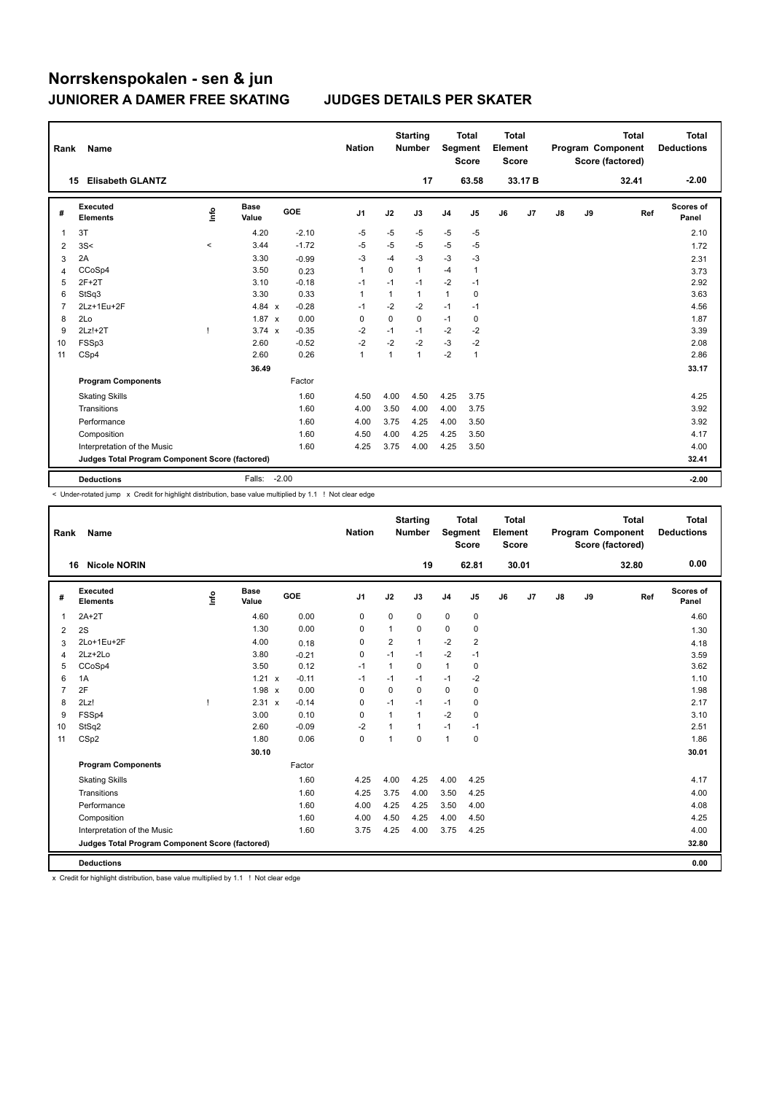| Rank           | Name                                            |         |                      |         | <b>Nation</b>  |             | <b>Starting</b><br><b>Number</b> | Segment        | <b>Total</b><br><b>Score</b> | <b>Total</b><br>Element<br><b>Score</b> |                |    |    | <b>Total</b><br>Program Component<br>Score (factored) | <b>Total</b><br><b>Deductions</b> |
|----------------|-------------------------------------------------|---------|----------------------|---------|----------------|-------------|----------------------------------|----------------|------------------------------|-----------------------------------------|----------------|----|----|-------------------------------------------------------|-----------------------------------|
|                | <b>Elisabeth GLANTZ</b><br>15                   |         |                      |         |                |             | 17                               |                | 63.58                        |                                         | 33.17B         |    |    | 32.41                                                 | $-2.00$                           |
| #              | Executed<br><b>Elements</b>                     | info    | <b>Base</b><br>Value | GOE     | J <sub>1</sub> | J2          | J3                               | J <sub>4</sub> | J5                           | J6                                      | J <sub>7</sub> | J8 | J9 | Ref                                                   | Scores of<br>Panel                |
| -1             | 3T                                              |         | 4.20                 | $-2.10$ | $-5$           | $-5$        | -5                               | $-5$           | $-5$                         |                                         |                |    |    |                                                       | 2.10                              |
| $\overline{2}$ | 3S<                                             | $\prec$ | 3.44                 | $-1.72$ | $-5$           | $-5$        | $-5$                             | $-5$           | $-5$                         |                                         |                |    |    |                                                       | 1.72                              |
| 3              | 2A                                              |         | 3.30                 | $-0.99$ | $-3$           | $-4$        | $-3$                             | $-3$           | -3                           |                                         |                |    |    |                                                       | 2.31                              |
| 4              | CCoSp4                                          |         | 3.50                 | 0.23    | $\mathbf{1}$   | $\Omega$    | 1                                | $-4$           | 1                            |                                         |                |    |    |                                                       | 3.73                              |
| 5              | $2F+2T$                                         |         | 3.10                 | $-0.18$ | $-1$           | $-1$        | $-1$                             | $-2$           | $-1$                         |                                         |                |    |    |                                                       | 2.92                              |
| 6              | StSq3                                           |         | 3.30                 | 0.33    | $\mathbf{1}$   | 1           | 1                                | 1              | 0                            |                                         |                |    |    |                                                       | 3.63                              |
| 7              | 2Lz+1Eu+2F                                      |         | 4.84 $x$             | $-0.28$ | $-1$           | $-2$        | $-2$                             | $-1$           | $-1$                         |                                         |                |    |    |                                                       | 4.56                              |
| 8              | 2Lo                                             |         | $1.87 \times$        | 0.00    | $\mathbf 0$    | $\mathbf 0$ | $\mathbf 0$                      | $-1$           | 0                            |                                         |                |    |    |                                                       | 1.87                              |
| 9              | $2Lz!+2T$                                       |         | $3.74 \times$        | $-0.35$ | $-2$           | $-1$        | $-1$                             | $-2$           | $-2$                         |                                         |                |    |    |                                                       | 3.39                              |
| 10             | FSSp3                                           |         | 2.60                 | $-0.52$ | $-2$           | $-2$        | $-2$                             | $-3$           | $-2$                         |                                         |                |    |    |                                                       | 2.08                              |
| 11             | CSp4                                            |         | 2.60                 | 0.26    | $\mathbf{1}$   | 1           | 1                                | $-2$           | $\mathbf{1}$                 |                                         |                |    |    |                                                       | 2.86                              |
|                |                                                 |         | 36.49                |         |                |             |                                  |                |                              |                                         |                |    |    |                                                       | 33.17                             |
|                | <b>Program Components</b>                       |         |                      | Factor  |                |             |                                  |                |                              |                                         |                |    |    |                                                       |                                   |
|                | <b>Skating Skills</b>                           |         |                      | 1.60    | 4.50           | 4.00        | 4.50                             | 4.25           | 3.75                         |                                         |                |    |    |                                                       | 4.25                              |
|                | Transitions                                     |         |                      | 1.60    | 4.00           | 3.50        | 4.00                             | 4.00           | 3.75                         |                                         |                |    |    |                                                       | 3.92                              |
|                | Performance                                     |         |                      | 1.60    | 4.00           | 3.75        | 4.25                             | 4.00           | 3.50                         |                                         |                |    |    |                                                       | 3.92                              |
|                | Composition                                     |         |                      | 1.60    | 4.50           | 4.00        | 4.25                             | 4.25           | 3.50                         |                                         |                |    |    |                                                       | 4.17                              |
|                | Interpretation of the Music                     |         |                      | 1.60    | 4.25           | 3.75        | 4.00                             | 4.25           | 3.50                         |                                         |                |    |    |                                                       | 4.00                              |
|                | Judges Total Program Component Score (factored) |         |                      |         |                |             |                                  |                |                              |                                         |                |    |    |                                                       | 32.41                             |
|                | <b>Deductions</b>                               |         | Falls:               | $-2.00$ |                |             |                                  |                |                              |                                         |                |    |    |                                                       | $-2.00$                           |

< Under-rotated jump x Credit for highlight distribution, base value multiplied by 1.1 ! Not clear edge

| Rank           | Name                                            |      |                      |                      | <b>Nation</b>  |                         | <b>Starting</b><br><b>Number</b> | Segment        | <b>Total</b><br><b>Score</b> | <b>Total</b><br>Element<br><b>Score</b> |       |               |    | <b>Total</b><br>Program Component<br>Score (factored) | <b>Total</b><br><b>Deductions</b> |
|----------------|-------------------------------------------------|------|----------------------|----------------------|----------------|-------------------------|----------------------------------|----------------|------------------------------|-----------------------------------------|-------|---------------|----|-------------------------------------------------------|-----------------------------------|
|                | <b>Nicole NORIN</b><br>16                       |      |                      |                      |                |                         | 19                               |                | 62.81                        |                                         | 30.01 |               |    | 32.80                                                 | 0.00                              |
| #              | Executed<br><b>Elements</b>                     | Info | <b>Base</b><br>Value | GOE                  | J <sub>1</sub> | J2                      | J3                               | J <sub>4</sub> | J5                           | J6                                      | J7    | $\mathsf{J}8$ | J9 | Ref                                                   | Scores of<br>Panel                |
| $\overline{1}$ | $2A+2T$                                         |      | 4.60                 | 0.00                 | $\mathbf 0$    | $\mathbf 0$             | 0                                | 0              | 0                            |                                         |       |               |    |                                                       | 4.60                              |
| 2              | 2S                                              |      | 1.30                 | 0.00                 | 0              | 1                       | 0                                | $\mathbf 0$    | $\mathbf 0$                  |                                         |       |               |    |                                                       | 1.30                              |
| 3              | 2Lo+1Eu+2F                                      |      | 4.00                 | 0.18                 | $\mathbf 0$    | $\overline{\mathbf{c}}$ | $\mathbf{1}$                     | $-2$           | $\overline{2}$               |                                         |       |               |    |                                                       | 4.18                              |
| 4              | 2Lz+2Lo                                         |      | 3.80                 | $-0.21$              | $\mathbf 0$    | $-1$                    | $-1$                             | $-2$           | $-1$                         |                                         |       |               |    |                                                       | 3.59                              |
| 5              | CCoSp4                                          |      | 3.50                 | 0.12                 | $-1$           | $\overline{1}$          | $\mathbf 0$                      | $\mathbf{1}$   | 0                            |                                         |       |               |    |                                                       | 3.62                              |
| 6              | 1A                                              |      | $1.21 \times$        | $-0.11$              | $-1$           | $-1$                    | $-1$                             | $-1$           | $-2$                         |                                         |       |               |    |                                                       | 1.10                              |
| $\overline{7}$ | 2F                                              |      | 1.98                 | 0.00<br>$\mathbf{x}$ | $\mathbf 0$    | $\Omega$                | $\Omega$                         | $\mathbf 0$    | 0                            |                                         |       |               |    |                                                       | 1.98                              |
| 8              | 2Lz!                                            | ı    | 2.31 x               | $-0.14$              | 0              | $-1$                    | $-1$                             | $-1$           | 0                            |                                         |       |               |    |                                                       | 2.17                              |
| 9              | FSSp4                                           |      | 3.00                 | 0.10                 | 0              | $\mathbf{1}$            | $\mathbf{1}$                     | $-2$           | 0                            |                                         |       |               |    |                                                       | 3.10                              |
| 10             | StSq2                                           |      | 2.60                 | $-0.09$              | $-2$           | 1                       | 1                                | $-1$           | $-1$                         |                                         |       |               |    |                                                       | 2.51                              |
| 11             | CSp2                                            |      | 1.80                 | 0.06                 | $\mathbf 0$    | 1                       | 0                                | $\mathbf{1}$   | 0                            |                                         |       |               |    |                                                       | 1.86                              |
|                |                                                 |      | 30.10                |                      |                |                         |                                  |                |                              |                                         |       |               |    |                                                       | 30.01                             |
|                | <b>Program Components</b>                       |      |                      | Factor               |                |                         |                                  |                |                              |                                         |       |               |    |                                                       |                                   |
|                | <b>Skating Skills</b>                           |      |                      | 1.60                 | 4.25           | 4.00                    | 4.25                             | 4.00           | 4.25                         |                                         |       |               |    |                                                       | 4.17                              |
|                | Transitions                                     |      |                      | 1.60                 | 4.25           | 3.75                    | 4.00                             | 3.50           | 4.25                         |                                         |       |               |    |                                                       | 4.00                              |
|                | Performance                                     |      |                      | 1.60                 | 4.00           | 4.25                    | 4.25                             | 3.50           | 4.00                         |                                         |       |               |    |                                                       | 4.08                              |
|                | Composition                                     |      |                      | 1.60                 | 4.00           | 4.50                    | 4.25                             | 4.00           | 4.50                         |                                         |       |               |    |                                                       | 4.25                              |
|                | Interpretation of the Music                     |      |                      | 1.60                 | 3.75           | 4.25                    | 4.00                             | 3.75           | 4.25                         |                                         |       |               |    |                                                       | 4.00                              |
|                | Judges Total Program Component Score (factored) |      |                      |                      |                |                         |                                  |                |                              |                                         |       |               |    |                                                       | 32.80                             |
|                | <b>Deductions</b>                               |      |                      |                      |                |                         |                                  |                |                              |                                         |       |               |    |                                                       | 0.00                              |

x Credit for highlight distribution, base value multiplied by 1.1 ! Not clear edge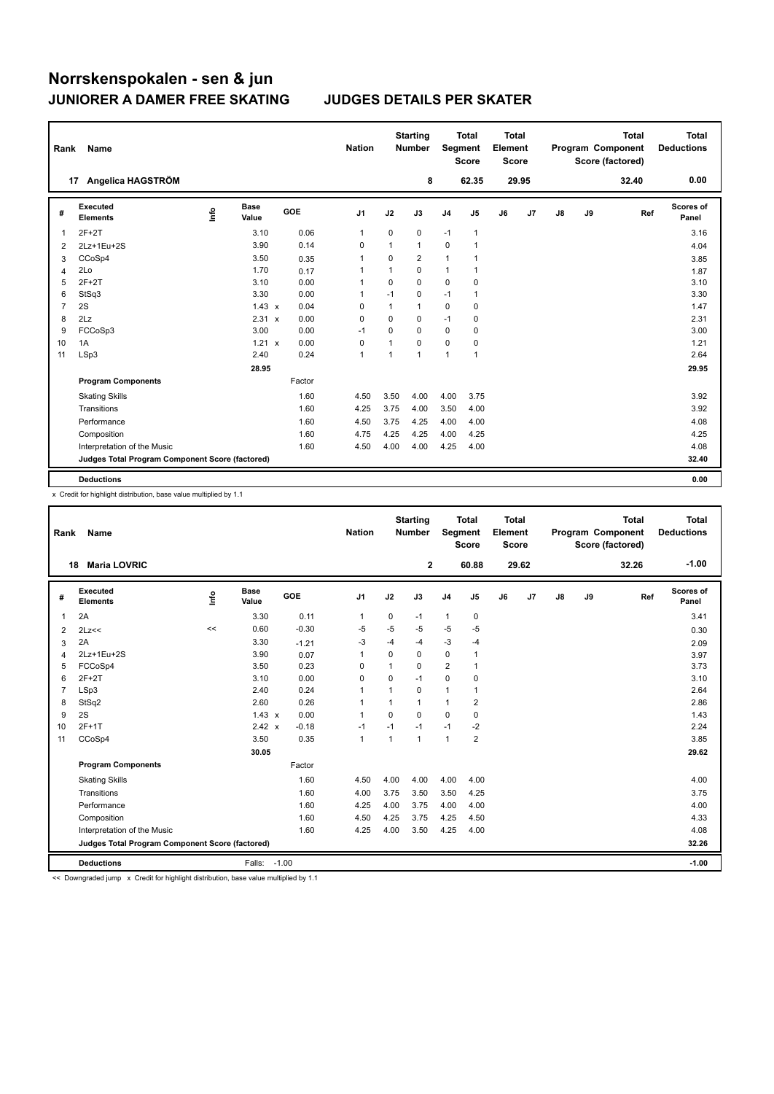| Rank           | Name                                            |    |                      |        | <b>Nation</b>  |             | <b>Starting</b><br><b>Number</b> |                | <b>Total</b><br>Segment<br><b>Score</b> | <b>Total</b><br>Element<br><b>Score</b> |                |    |    | <b>Total</b><br>Program Component<br>Score (factored) | <b>Total</b><br><b>Deductions</b> |
|----------------|-------------------------------------------------|----|----------------------|--------|----------------|-------------|----------------------------------|----------------|-----------------------------------------|-----------------------------------------|----------------|----|----|-------------------------------------------------------|-----------------------------------|
|                | Angelica HAGSTRÖM<br>17                         |    |                      |        |                |             | 8                                |                | 62.35                                   |                                         | 29.95          |    |    | 32.40                                                 | 0.00                              |
| #              | <b>Executed</b><br><b>Elements</b>              | ۴٥ | <b>Base</b><br>Value | GOE    | J1             | J2          | J3                               | J <sub>4</sub> | J5                                      | J6                                      | J <sub>7</sub> | J8 | J9 | Ref                                                   | Scores of<br>Panel                |
| 1              | $2F+2T$                                         |    | 3.10                 | 0.06   | 1              | 0           | 0                                | $-1$           | 1                                       |                                         |                |    |    |                                                       | 3.16                              |
| 2              | 2Lz+1Eu+2S                                      |    | 3.90                 | 0.14   | 0              | 1           | $\mathbf{1}$                     | 0              | $\mathbf{1}$                            |                                         |                |    |    |                                                       | 4.04                              |
| 3              | CCoSp4                                          |    | 3.50                 | 0.35   | $\overline{1}$ | 0           | $\overline{2}$                   | $\mathbf{1}$   | 1                                       |                                         |                |    |    |                                                       | 3.85                              |
| 4              | 2Lo                                             |    | 1.70                 | 0.17   | 1              | 1           | $\mathbf 0$                      | $\mathbf{1}$   | $\mathbf{1}$                            |                                         |                |    |    |                                                       | 1.87                              |
| 5              | $2F+2T$                                         |    | 3.10                 | 0.00   | 1              | $\mathbf 0$ | $\Omega$                         | 0              | 0                                       |                                         |                |    |    |                                                       | 3.10                              |
| 6              | StSq3                                           |    | 3.30                 | 0.00   | 1              | $-1$        | 0                                | $-1$           | 1                                       |                                         |                |    |    |                                                       | 3.30                              |
| $\overline{7}$ | 2S                                              |    | $1.43 \times$        | 0.04   | 0              | 1           | $\mathbf{1}$                     | $\mathbf 0$    | 0                                       |                                         |                |    |    |                                                       | 1.47                              |
| 8              | 2Lz                                             |    | 2.31 x               | 0.00   | 0              | $\mathbf 0$ | 0                                | $-1$           | 0                                       |                                         |                |    |    |                                                       | 2.31                              |
| 9              | FCCoSp3                                         |    | 3.00                 | 0.00   | $-1$           | 0           | 0                                | $\mathbf 0$    | 0                                       |                                         |                |    |    |                                                       | 3.00                              |
| 10             | 1A                                              |    | $1.21 \times$        | 0.00   | 0              | 1           | $\Omega$                         | 0              | 0                                       |                                         |                |    |    |                                                       | 1.21                              |
| 11             | LSp3                                            |    | 2.40                 | 0.24   | $\overline{1}$ |             | $\mathbf{1}$                     | $\mathbf{1}$   | 1                                       |                                         |                |    |    |                                                       | 2.64                              |
|                |                                                 |    | 28.95                |        |                |             |                                  |                |                                         |                                         |                |    |    |                                                       | 29.95                             |
|                | <b>Program Components</b>                       |    |                      | Factor |                |             |                                  |                |                                         |                                         |                |    |    |                                                       |                                   |
|                | <b>Skating Skills</b>                           |    |                      | 1.60   | 4.50           | 3.50        | 4.00                             | 4.00           | 3.75                                    |                                         |                |    |    |                                                       | 3.92                              |
|                | Transitions                                     |    |                      | 1.60   | 4.25           | 3.75        | 4.00                             | 3.50           | 4.00                                    |                                         |                |    |    |                                                       | 3.92                              |
|                | Performance                                     |    |                      | 1.60   | 4.50           | 3.75        | 4.25                             | 4.00           | 4.00                                    |                                         |                |    |    |                                                       | 4.08                              |
|                | Composition                                     |    |                      | 1.60   | 4.75           | 4.25        | 4.25                             | 4.00           | 4.25                                    |                                         |                |    |    |                                                       | 4.25                              |
|                | Interpretation of the Music                     |    |                      | 1.60   | 4.50           | 4.00        | 4.00                             | 4.25           | 4.00                                    |                                         |                |    |    |                                                       | 4.08                              |
|                | Judges Total Program Component Score (factored) |    |                      |        |                |             |                                  |                |                                         |                                         |                |    |    |                                                       | 32.40                             |
|                | <b>Deductions</b>                               |    |                      |        |                |             |                                  |                |                                         |                                         |                |    |    |                                                       | 0.00                              |

x Credit for highlight distribution, base value multiplied by 1.1

| Rank                    | Name                                            |      |                      |            | <b>Nation</b>  |          | <b>Starting</b><br><b>Number</b> | Segment        | <b>Total</b><br><b>Score</b> | Total<br>Element<br><b>Score</b> |       |    |    | <b>Total</b><br>Program Component<br>Score (factored) | <b>Total</b><br><b>Deductions</b> |
|-------------------------|-------------------------------------------------|------|----------------------|------------|----------------|----------|----------------------------------|----------------|------------------------------|----------------------------------|-------|----|----|-------------------------------------------------------|-----------------------------------|
| 18                      | <b>Maria LOVRIC</b>                             |      |                      |            |                |          | $\mathbf{2}$                     |                | 60.88                        |                                  | 29.62 |    |    | 32.26                                                 | $-1.00$                           |
| #                       | Executed<br><b>Elements</b>                     | info | <b>Base</b><br>Value | <b>GOE</b> | J <sub>1</sub> | J2       | J3                               | J <sub>4</sub> | J5                           | J6                               | J7    | J8 | J9 | Ref                                                   | Scores of<br>Panel                |
| 1                       | 2A                                              |      | 3.30                 | 0.11       | 1              | 0        | $-1$                             | $\mathbf{1}$   | 0                            |                                  |       |    |    |                                                       | 3.41                              |
| 2                       | 2Lz<<                                           | <<   | 0.60                 | $-0.30$    | $-5$           | $-5$     | $-5$                             | $-5$           | $-5$                         |                                  |       |    |    |                                                       | 0.30                              |
| 3                       | 2A                                              |      | 3.30                 | $-1.21$    | $-3$           | $-4$     | $-4$                             | $-3$           | $-4$                         |                                  |       |    |    |                                                       | 2.09                              |
| $\overline{\mathbf{A}}$ | 2Lz+1Eu+2S                                      |      | 3.90                 | 0.07       | $\mathbf{1}$   | $\Omega$ | 0                                | $\mathbf 0$    | 1                            |                                  |       |    |    |                                                       | 3.97                              |
| 5                       | FCCoSp4                                         |      | 3.50                 | 0.23       | $\Omega$       | 1        | $\Omega$                         | $\overline{2}$ | 1                            |                                  |       |    |    |                                                       | 3.73                              |
| 6                       | $2F+2T$                                         |      | 3.10                 | 0.00       | $\Omega$       | 0        | $-1$                             | $\mathbf 0$    | 0                            |                                  |       |    |    |                                                       | 3.10                              |
| $\overline{7}$          | LSp3                                            |      | 2.40                 | 0.24       | $\mathbf{1}$   | 1        | $\Omega$                         | $\mathbf{1}$   | 1                            |                                  |       |    |    |                                                       | 2.64                              |
| 8                       | StSq2                                           |      | 2.60                 | 0.26       | $\mathbf{1}$   | 1        | $\mathbf{1}$                     | $\mathbf{1}$   | 2                            |                                  |       |    |    |                                                       | 2.86                              |
| 9                       | 2S                                              |      | $1.43 \times$        | 0.00       | $\mathbf{1}$   | $\Omega$ | $\Omega$                         | $\Omega$       | 0                            |                                  |       |    |    |                                                       | 1.43                              |
| 10                      | $2F+1T$                                         |      | 2.42 x               | $-0.18$    | $-1$           | $-1$     | $-1$                             | $-1$           | $-2$                         |                                  |       |    |    |                                                       | 2.24                              |
| 11                      | CCoSp4                                          |      | 3.50                 | 0.35       | $\mathbf{1}$   | 1        | $\mathbf{1}$                     | $\mathbf{1}$   | $\overline{2}$               |                                  |       |    |    |                                                       | 3.85                              |
|                         |                                                 |      | 30.05                |            |                |          |                                  |                |                              |                                  |       |    |    |                                                       | 29.62                             |
|                         | <b>Program Components</b>                       |      |                      | Factor     |                |          |                                  |                |                              |                                  |       |    |    |                                                       |                                   |
|                         | <b>Skating Skills</b>                           |      |                      | 1.60       | 4.50           | 4.00     | 4.00                             | 4.00           | 4.00                         |                                  |       |    |    |                                                       | 4.00                              |
|                         | Transitions                                     |      |                      | 1.60       | 4.00           | 3.75     | 3.50                             | 3.50           | 4.25                         |                                  |       |    |    |                                                       | 3.75                              |
|                         | Performance                                     |      |                      | 1.60       | 4.25           | 4.00     | 3.75                             | 4.00           | 4.00                         |                                  |       |    |    |                                                       | 4.00                              |
|                         | Composition                                     |      |                      | 1.60       | 4.50           | 4.25     | 3.75                             | 4.25           | 4.50                         |                                  |       |    |    |                                                       | 4.33                              |
|                         | Interpretation of the Music                     |      |                      | 1.60       | 4.25           | 4.00     | 3.50                             | 4.25           | 4.00                         |                                  |       |    |    |                                                       | 4.08                              |
|                         | Judges Total Program Component Score (factored) |      |                      |            |                |          |                                  |                |                              |                                  |       |    |    |                                                       | 32.26                             |
|                         | <b>Deductions</b>                               |      | Falls:               | $-1.00$    |                |          |                                  |                |                              |                                  |       |    |    |                                                       | $-1.00$                           |

<< Downgraded jump x Credit for highlight distribution, base value multiplied by 1.1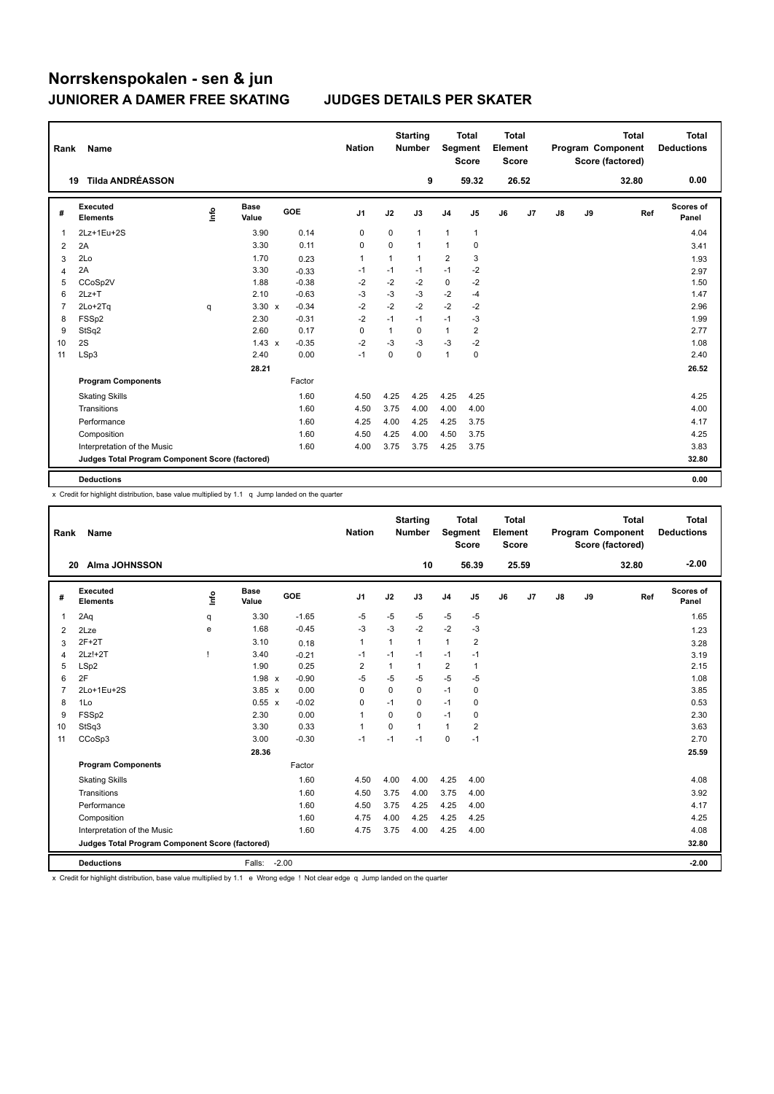| Rank           | Name                                            |      |                      |            | <b>Nation</b>  |             | <b>Starting</b><br><b>Number</b> | Segment        | <b>Total</b><br><b>Score</b> | <b>Total</b><br>Element<br><b>Score</b> |       |    |    | <b>Total</b><br>Program Component<br>Score (factored) | <b>Total</b><br><b>Deductions</b> |
|----------------|-------------------------------------------------|------|----------------------|------------|----------------|-------------|----------------------------------|----------------|------------------------------|-----------------------------------------|-------|----|----|-------------------------------------------------------|-----------------------------------|
|                | <b>Tilda ANDRÉASSON</b><br>19                   |      |                      |            |                |             | 9                                |                | 59.32                        |                                         | 26.52 |    |    | 32.80                                                 | 0.00                              |
| #              | <b>Executed</b><br><b>Elements</b>              | Info | <b>Base</b><br>Value | <b>GOE</b> | J <sub>1</sub> | J2          | J3                               | J <sub>4</sub> | J5                           | J6                                      | J7    | J8 | J9 | Ref                                                   | Scores of<br>Panel                |
| 1              | 2Lz+1Eu+2S                                      |      | 3.90                 | 0.14       | 0              | $\mathbf 0$ | $\mathbf{1}$                     | $\mathbf{1}$   | 1                            |                                         |       |    |    |                                                       | 4.04                              |
| $\overline{2}$ | 2A                                              |      | 3.30                 | 0.11       | 0              | $\mathbf 0$ | $\mathbf{1}$                     | $\mathbf{1}$   | 0                            |                                         |       |    |    |                                                       | 3.41                              |
| 3              | 2Lo                                             |      | 1.70                 | 0.23       | $\overline{1}$ | 1           | $\mathbf{1}$                     | 2              | 3                            |                                         |       |    |    |                                                       | 1.93                              |
| 4              | 2A                                              |      | 3.30                 | $-0.33$    | $-1$           | $-1$        | $-1$                             | $-1$           | $-2$                         |                                         |       |    |    |                                                       | 2.97                              |
| 5              | CCoSp2V                                         |      | 1.88                 | $-0.38$    | $-2$           | $-2$        | $-2$                             | $\mathbf 0$    | $-2$                         |                                         |       |    |    |                                                       | 1.50                              |
| 6              | $2Lz+T$                                         |      | 2.10                 | $-0.63$    | $-3$           | $-3$        | $-3$                             | $-2$           | $-4$                         |                                         |       |    |    |                                                       | 1.47                              |
| $\overline{7}$ | 2Lo+2Tq                                         | q    | $3.30 \times$        | $-0.34$    | $-2$           | $-2$        | $-2$                             | $-2$           | -2                           |                                         |       |    |    |                                                       | 2.96                              |
| 8              | FSSp2                                           |      | 2.30                 | $-0.31$    | $-2$           | $-1$        | $-1$                             | $-1$           | -3                           |                                         |       |    |    |                                                       | 1.99                              |
| 9              | StSq2                                           |      | 2.60                 | 0.17       | 0              | 1           | 0                                | $\mathbf{1}$   | 2                            |                                         |       |    |    |                                                       | 2.77                              |
| 10             | 2S                                              |      | $1.43 \times$        | $-0.35$    | $-2$           | -3          | -3                               | $-3$           | $-2$                         |                                         |       |    |    |                                                       | 1.08                              |
| 11             | LSp3                                            |      | 2.40                 | 0.00       | $-1$           | $\mathbf 0$ | $\mathbf 0$                      | $\mathbf{1}$   | 0                            |                                         |       |    |    |                                                       | 2.40                              |
|                |                                                 |      | 28.21                |            |                |             |                                  |                |                              |                                         |       |    |    |                                                       | 26.52                             |
|                | <b>Program Components</b>                       |      |                      | Factor     |                |             |                                  |                |                              |                                         |       |    |    |                                                       |                                   |
|                | <b>Skating Skills</b>                           |      |                      | 1.60       | 4.50           | 4.25        | 4.25                             | 4.25           | 4.25                         |                                         |       |    |    |                                                       | 4.25                              |
|                | Transitions                                     |      |                      | 1.60       | 4.50           | 3.75        | 4.00                             | 4.00           | 4.00                         |                                         |       |    |    |                                                       | 4.00                              |
|                | Performance                                     |      |                      | 1.60       | 4.25           | 4.00        | 4.25                             | 4.25           | 3.75                         |                                         |       |    |    |                                                       | 4.17                              |
|                | Composition                                     |      |                      | 1.60       | 4.50           | 4.25        | 4.00                             | 4.50           | 3.75                         |                                         |       |    |    |                                                       | 4.25                              |
|                | Interpretation of the Music                     |      |                      | 1.60       | 4.00           | 3.75        | 3.75                             | 4.25           | 3.75                         |                                         |       |    |    |                                                       | 3.83                              |
|                | Judges Total Program Component Score (factored) |      |                      |            |                |             |                                  |                |                              |                                         |       |    |    |                                                       | 32.80                             |
|                | <b>Deductions</b>                               |      |                      |            |                |             |                                  |                |                              |                                         |       |    |    |                                                       | 0.00                              |

x Credit for highlight distribution, base value multiplied by 1.1 q Jump landed on the quarter

| Rank           | <b>Name</b>                                     |             |                      |            | <b>Nation</b>  |                | <b>Starting</b><br>Number | Segment        | <b>Total</b><br><b>Score</b> | Total<br>Element<br><b>Score</b> |       |    |    | <b>Total</b><br>Program Component<br>Score (factored) | Total<br><b>Deductions</b> |
|----------------|-------------------------------------------------|-------------|----------------------|------------|----------------|----------------|---------------------------|----------------|------------------------------|----------------------------------|-------|----|----|-------------------------------------------------------|----------------------------|
| 20             | <b>Alma JOHNSSON</b>                            |             |                      |            |                |                | 10                        |                | 56.39                        |                                  | 25.59 |    |    | 32.80                                                 | $-2.00$                    |
| #              | Executed<br><b>Elements</b>                     | <u>info</u> | <b>Base</b><br>Value | <b>GOE</b> | J <sub>1</sub> | J2             | J3                        | J <sub>4</sub> | J5                           | J6                               | J7    | J8 | J9 | Ref                                                   | <b>Scores of</b><br>Panel  |
| $\mathbf{1}$   | 2Aq                                             | q           | 3.30                 | $-1.65$    | $-5$           | $-5$           | -5                        | -5             | $-5$                         |                                  |       |    |    |                                                       | 1.65                       |
| 2              | 2Lze                                            | e           | 1.68                 | $-0.45$    | -3             | $-3$           | $-2$                      | $-2$           | $-3$                         |                                  |       |    |    |                                                       | 1.23                       |
| 3              | $2F+2T$                                         |             | 3.10                 | 0.18       | $\mathbf{1}$   | $\mathbf{1}$   | 1                         | $\mathbf{1}$   | $\overline{2}$               |                                  |       |    |    |                                                       | 3.28                       |
| $\overline{4}$ | $2Lz!+2T$                                       |             | 3.40                 | $-0.21$    | $-1$           | $-1$           | $-1$                      | $-1$           | $-1$                         |                                  |       |    |    |                                                       | 3.19                       |
| 5              | LSp2                                            |             | 1.90                 | 0.25       | $\overline{2}$ | $\overline{1}$ | 1                         | $\overline{2}$ | 1                            |                                  |       |    |    |                                                       | 2.15                       |
| 6              | 2F                                              |             | $1.98 \times$        | $-0.90$    | $-5$           | $-5$           | $-5$                      | $-5$           | $-5$                         |                                  |       |    |    |                                                       | 1.08                       |
| $\overline{7}$ | 2Lo+1Eu+2S                                      |             | $3.85 \times$        | 0.00       | 0              | $\Omega$       | 0                         | $-1$           | 0                            |                                  |       |    |    |                                                       | 3.85                       |
| 8              | 1Lo                                             |             | $0.55 \times$        | $-0.02$    | $\Omega$       | $-1$           | 0                         | $-1$           | 0                            |                                  |       |    |    |                                                       | 0.53                       |
| 9              | FSSp2                                           |             | 2.30                 | 0.00       | $\mathbf{1}$   | $\Omega$       | 0                         | $-1$           | 0                            |                                  |       |    |    |                                                       | 2.30                       |
| 10             | StSq3                                           |             | 3.30                 | 0.33       | $\mathbf{1}$   | $\Omega$       | 1                         | $\mathbf{1}$   | 2                            |                                  |       |    |    |                                                       | 3.63                       |
| 11             | CCoSp3                                          |             | 3.00                 | $-0.30$    | $-1$           | $-1$           | $-1$                      | $\mathbf 0$    | $-1$                         |                                  |       |    |    |                                                       | 2.70                       |
|                |                                                 |             | 28.36                |            |                |                |                           |                |                              |                                  |       |    |    |                                                       | 25.59                      |
|                | <b>Program Components</b>                       |             |                      | Factor     |                |                |                           |                |                              |                                  |       |    |    |                                                       |                            |
|                | <b>Skating Skills</b>                           |             |                      | 1.60       | 4.50           | 4.00           | 4.00                      | 4.25           | 4.00                         |                                  |       |    |    |                                                       | 4.08                       |
|                | Transitions                                     |             |                      | 1.60       | 4.50           | 3.75           | 4.00                      | 3.75           | 4.00                         |                                  |       |    |    |                                                       | 3.92                       |
|                | Performance                                     |             |                      | 1.60       | 4.50           | 3.75           | 4.25                      | 4.25           | 4.00                         |                                  |       |    |    |                                                       | 4.17                       |
|                | Composition                                     |             |                      | 1.60       | 4.75           | 4.00           | 4.25                      | 4.25           | 4.25                         |                                  |       |    |    |                                                       | 4.25                       |
|                | Interpretation of the Music                     |             |                      | 1.60       | 4.75           | 3.75           | 4.00                      | 4.25           | 4.00                         |                                  |       |    |    |                                                       | 4.08                       |
|                | Judges Total Program Component Score (factored) |             |                      |            |                |                |                           |                |                              |                                  |       |    |    |                                                       | 32.80                      |
|                | <b>Deductions</b>                               |             | Falls:               | $-2.00$    |                |                |                           |                |                              |                                  |       |    |    |                                                       | $-2.00$                    |

x Credit for highlight distribution, base value multiplied by 1.1 e Wrong edge ! Not clear edge q Jump landed on the quarter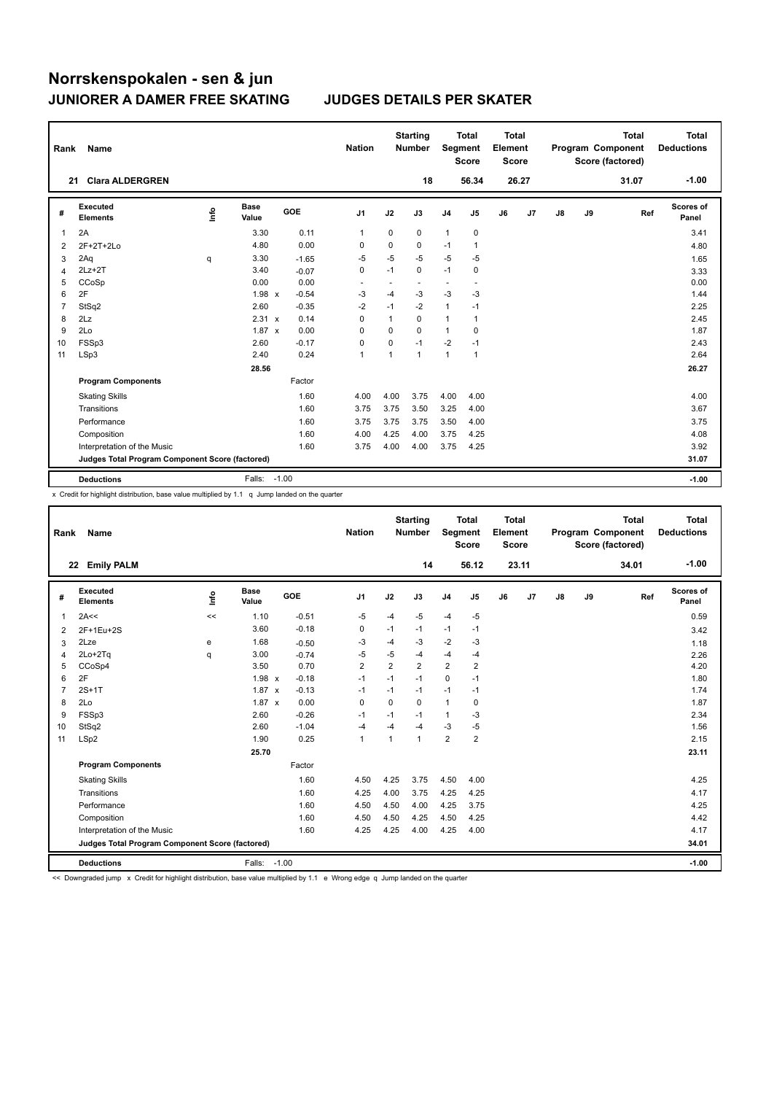| Rank | Name                                            |      |                      |         |            | <b>Nation</b>  |                | <b>Starting</b><br><b>Number</b> |                          | <b>Total</b><br>Segment<br><b>Score</b> | Total<br>Element<br><b>Score</b> |       |    |    | <b>Total</b><br>Program Component<br>Score (factored) | Total<br><b>Deductions</b> |
|------|-------------------------------------------------|------|----------------------|---------|------------|----------------|----------------|----------------------------------|--------------------------|-----------------------------------------|----------------------------------|-------|----|----|-------------------------------------------------------|----------------------------|
| 21   | <b>Clara ALDERGREN</b>                          |      |                      |         |            |                |                | 18                               |                          | 56.34                                   |                                  | 26.27 |    |    | 31.07                                                 | $-1.00$                    |
| #    | <b>Executed</b><br><b>Elements</b>              | lnfo | <b>Base</b><br>Value |         | <b>GOE</b> | J <sub>1</sub> | J2             | J3                               | J <sub>4</sub>           | J <sub>5</sub>                          | J6                               | J7    | J8 | J9 | Ref                                                   | <b>Scores of</b><br>Panel  |
| 1    | 2A                                              |      | 3.30                 |         | 0.11       | 1              | 0              | 0                                | 1                        | 0                                       |                                  |       |    |    |                                                       | 3.41                       |
| 2    | 2F+2T+2Lo                                       |      | 4.80                 |         | 0.00       | 0              | 0              | 0                                | $-1$                     | $\mathbf{1}$                            |                                  |       |    |    |                                                       | 4.80                       |
| 3    | 2Aq                                             | q    | 3.30                 |         | $-1.65$    | $-5$           | $-5$           | $-5$                             | $-5$                     | $-5$                                    |                                  |       |    |    |                                                       | 1.65                       |
| 4    | $2Lz+2T$                                        |      | 3.40                 |         | $-0.07$    | $\mathbf 0$    | $-1$           | $\mathbf 0$                      | $-1$                     | $\mathbf 0$                             |                                  |       |    |    |                                                       | 3.33                       |
| 5    | CCoSp                                           |      | 0.00                 |         | 0.00       | ٠              |                |                                  | $\overline{\phantom{a}}$ |                                         |                                  |       |    |    |                                                       | 0.00                       |
| 6    | 2F                                              |      | 1.98 x               |         | $-0.54$    | $-3$           | $-4$           | $-3$                             | $-3$                     | $-3$                                    |                                  |       |    |    |                                                       | 1.44                       |
| 7    | StSq2                                           |      | 2.60                 |         | $-0.35$    | $-2$           | $-1$           | $-2$                             | $\mathbf{1}$             | $-1$                                    |                                  |       |    |    |                                                       | 2.25                       |
| 8    | 2Lz                                             |      | 2.31 x               |         | 0.14       | 0              | $\mathbf{1}$   | 0                                | $\mathbf{1}$             | $\mathbf{1}$                            |                                  |       |    |    |                                                       | 2.45                       |
| 9    | 2Lo                                             |      | 1.87 x               |         | 0.00       | 0              | $\mathbf 0$    | $\mathbf 0$                      | 1                        | $\pmb{0}$                               |                                  |       |    |    |                                                       | 1.87                       |
| 10   | FSSp3                                           |      | 2.60                 |         | $-0.17$    | 0              | 0              | $-1$                             | $-2$                     | $-1$                                    |                                  |       |    |    |                                                       | 2.43                       |
| 11   | LSp3                                            |      | 2.40                 |         | 0.24       | $\mathbf{1}$   | $\overline{1}$ | $\mathbf{1}$                     | $\mathbf{1}$             | $\mathbf{1}$                            |                                  |       |    |    |                                                       | 2.64                       |
|      |                                                 |      | 28.56                |         |            |                |                |                                  |                          |                                         |                                  |       |    |    |                                                       | 26.27                      |
|      | <b>Program Components</b>                       |      |                      |         | Factor     |                |                |                                  |                          |                                         |                                  |       |    |    |                                                       |                            |
|      | <b>Skating Skills</b>                           |      |                      |         | 1.60       | 4.00           | 4.00           | 3.75                             | 4.00                     | 4.00                                    |                                  |       |    |    |                                                       | 4.00                       |
|      | Transitions                                     |      |                      |         | 1.60       | 3.75           | 3.75           | 3.50                             | 3.25                     | 4.00                                    |                                  |       |    |    |                                                       | 3.67                       |
|      | Performance                                     |      |                      |         | 1.60       | 3.75           | 3.75           | 3.75                             | 3.50                     | 4.00                                    |                                  |       |    |    |                                                       | 3.75                       |
|      | Composition                                     |      |                      |         | 1.60       | 4.00           | 4.25           | 4.00                             | 3.75                     | 4.25                                    |                                  |       |    |    |                                                       | 4.08                       |
|      | Interpretation of the Music                     |      |                      |         | 1.60       | 3.75           | 4.00           | 4.00                             | 3.75                     | 4.25                                    |                                  |       |    |    |                                                       | 3.92                       |
|      | Judges Total Program Component Score (factored) |      |                      |         |            |                |                |                                  |                          |                                         |                                  |       |    |    |                                                       | 31.07                      |
|      | <b>Deductions</b>                               |      | Falls:               | $-1.00$ |            |                |                |                                  |                          |                                         |                                  |       |    |    |                                                       | $-1.00$                    |

x Credit for highlight distribution, base value multiplied by 1.1 q Jump landed on the quarter

| Rank           | <b>Name</b>                                     |      |                      |         | <b>Nation</b>  |                | <b>Starting</b><br><b>Number</b> | Segment        | <b>Total</b><br><b>Score</b> | <b>Total</b><br>Element<br><b>Score</b> |       |    |    | <b>Total</b><br>Program Component<br>Score (factored) | Total<br><b>Deductions</b> |
|----------------|-------------------------------------------------|------|----------------------|---------|----------------|----------------|----------------------------------|----------------|------------------------------|-----------------------------------------|-------|----|----|-------------------------------------------------------|----------------------------|
|                | <b>Emily PALM</b><br>22                         |      |                      |         |                |                | 14                               |                | 56.12                        |                                         | 23.11 |    |    | 34.01                                                 | $-1.00$                    |
| #              | Executed<br><b>Elements</b>                     | Info | <b>Base</b><br>Value | GOE     | J1             | J2             | J3                               | J <sub>4</sub> | J5                           | J6                                      | J7    | J8 | J9 | Ref                                                   | <b>Scores of</b><br>Panel  |
| $\mathbf 1$    | 2A<<                                            | <<   | 1.10                 | $-0.51$ | -5             | $-4$           | $-5$                             | $-4$           | $-5$                         |                                         |       |    |    |                                                       | 0.59                       |
| 2              | 2F+1Eu+2S                                       |      | 3.60                 | $-0.18$ | 0              | $-1$           | $-1$                             | $-1$           | $-1$                         |                                         |       |    |    |                                                       | 3.42                       |
| 3              | 2Lze                                            | e    | 1.68                 | $-0.50$ | $-3$           | $-4$           | $-3$                             | $-2$           | $-3$                         |                                         |       |    |    |                                                       | 1.18                       |
| 4              | 2Lo+2Tq                                         | q    | 3.00                 | $-0.74$ | -5             | $-5$           | $-4$                             | -4             | $-4$                         |                                         |       |    |    |                                                       | 2.26                       |
| 5              | CCoSp4                                          |      | 3.50                 | 0.70    | $\overline{2}$ | $\overline{2}$ | $\overline{2}$                   | $\overline{2}$ | $\overline{2}$               |                                         |       |    |    |                                                       | 4.20                       |
| 6              | 2F                                              |      | $1.98 \times$        | $-0.18$ | $-1$           | $-1$           | $-1$                             | $\mathbf 0$    | $-1$                         |                                         |       |    |    |                                                       | 1.80                       |
| $\overline{7}$ | $2S+1T$                                         |      | $1.87 \times$        | $-0.13$ | $-1$           | $-1$           | $-1$                             | $-1$           | $-1$                         |                                         |       |    |    |                                                       | 1.74                       |
| 8              | 2Lo                                             |      | $1.87 \times$        | 0.00    | $\Omega$       | $\Omega$       | $\Omega$                         | $\mathbf{1}$   | 0                            |                                         |       |    |    |                                                       | 1.87                       |
| 9              | FSSp3                                           |      | 2.60                 | $-0.26$ | $-1$           | $-1$           | $-1$                             | $\mathbf{1}$   | $-3$                         |                                         |       |    |    |                                                       | 2.34                       |
| 10             | StSq2                                           |      | 2.60                 | $-1.04$ | $-4$           | $-4$           | $-4$                             | $-3$           | $-5$                         |                                         |       |    |    |                                                       | 1.56                       |
| 11             | LSp2                                            |      | 1.90                 | 0.25    | $\mathbf{1}$   | $\mathbf{1}$   | $\mathbf{1}$                     | $\overline{2}$ | $\overline{2}$               |                                         |       |    |    |                                                       | 2.15                       |
|                |                                                 |      | 25.70                |         |                |                |                                  |                |                              |                                         |       |    |    |                                                       | 23.11                      |
|                | <b>Program Components</b>                       |      |                      | Factor  |                |                |                                  |                |                              |                                         |       |    |    |                                                       |                            |
|                | <b>Skating Skills</b>                           |      |                      | 1.60    | 4.50           | 4.25           | 3.75                             | 4.50           | 4.00                         |                                         |       |    |    |                                                       | 4.25                       |
|                | Transitions                                     |      |                      | 1.60    | 4.25           | 4.00           | 3.75                             | 4.25           | 4.25                         |                                         |       |    |    |                                                       | 4.17                       |
|                | Performance                                     |      |                      | 1.60    | 4.50           | 4.50           | 4.00                             | 4.25           | 3.75                         |                                         |       |    |    |                                                       | 4.25                       |
|                | Composition                                     |      |                      | 1.60    | 4.50           | 4.50           | 4.25                             | 4.50           | 4.25                         |                                         |       |    |    |                                                       | 4.42                       |
|                | Interpretation of the Music                     |      |                      | 1.60    | 4.25           | 4.25           | 4.00                             | 4.25           | 4.00                         |                                         |       |    |    |                                                       | 4.17                       |
|                | Judges Total Program Component Score (factored) |      |                      |         |                |                |                                  |                |                              |                                         |       |    |    |                                                       | 34.01                      |
|                | <b>Deductions</b>                               |      | Falls: -1.00         |         |                |                |                                  |                |                              |                                         |       |    |    |                                                       | $-1.00$                    |

<< Downgraded jump x Credit for highlight distribution, base value multiplied by 1.1 e Wrong edge q Jump landed on the quarter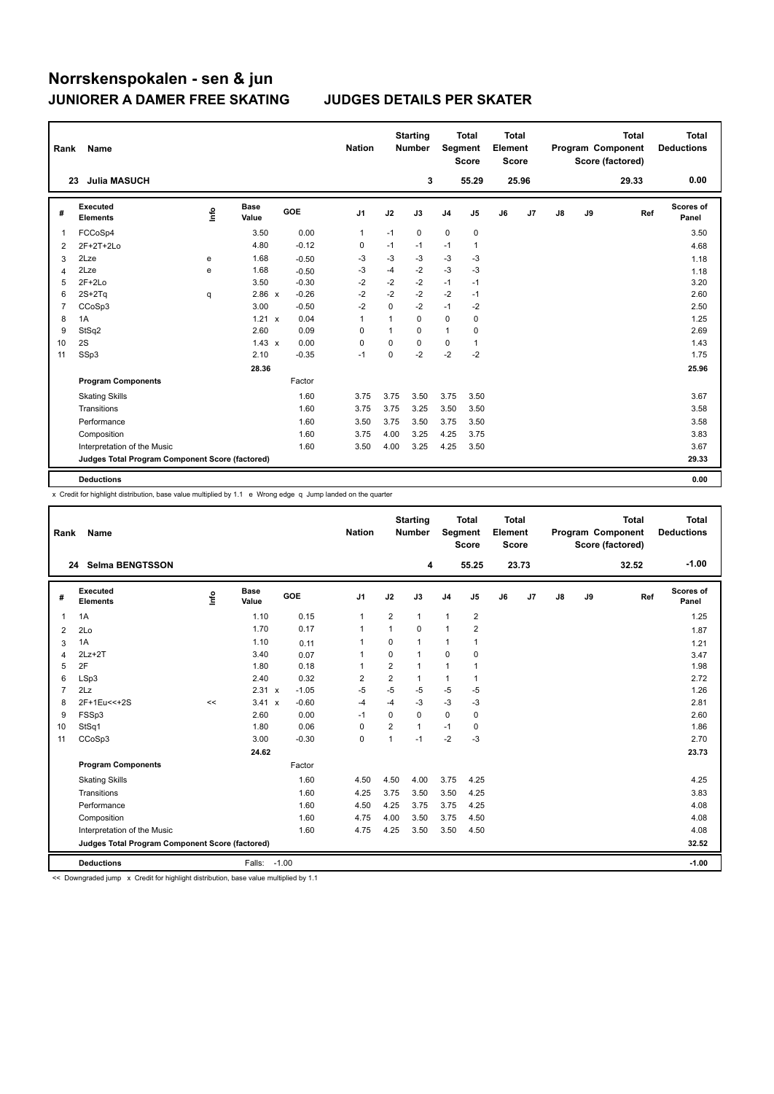| Rank           | Name                                            |                                  |                      |            | <b>Nation</b>  |             | <b>Starting</b><br><b>Number</b> | Segment        | <b>Total</b><br><b>Score</b> | <b>Total</b><br>Element<br><b>Score</b> |       |    |    | <b>Total</b><br>Program Component<br>Score (factored) | <b>Total</b><br><b>Deductions</b> |
|----------------|-------------------------------------------------|----------------------------------|----------------------|------------|----------------|-------------|----------------------------------|----------------|------------------------------|-----------------------------------------|-------|----|----|-------------------------------------------------------|-----------------------------------|
| 23             | <b>Julia MASUCH</b>                             |                                  |                      |            |                |             | 3                                |                | 55.29                        |                                         | 25.96 |    |    | 29.33                                                 | 0.00                              |
| #              | <b>Executed</b><br><b>Elements</b>              | $\mathop{\mathsf{Int}}\nolimits$ | <b>Base</b><br>Value | <b>GOE</b> | J <sub>1</sub> | J2          | J3                               | J <sub>4</sub> | J5                           | J6                                      | J7    | J8 | J9 | Ref                                                   | Scores of<br>Panel                |
| 1              | FCCoSp4                                         |                                  | 3.50                 | 0.00       | $\mathbf{1}$   | $-1$        | 0                                | $\pmb{0}$      | 0                            |                                         |       |    |    |                                                       | 3.50                              |
| $\overline{2}$ | 2F+2T+2Lo                                       |                                  | 4.80                 | $-0.12$    | 0              | $-1$        | $-1$                             | $-1$           | 1                            |                                         |       |    |    |                                                       | 4.68                              |
| 3              | 2Lze                                            | e                                | 1.68                 | $-0.50$    | -3             | -3          | -3                               | -3             | -3                           |                                         |       |    |    |                                                       | 1.18                              |
| $\overline{4}$ | 2Lze                                            | e                                | 1.68                 | $-0.50$    | $-3$           | $-4$        | $-2$                             | $-3$           | $-3$                         |                                         |       |    |    |                                                       | 1.18                              |
| 5              | $2F+2Lo$                                        |                                  | 3.50                 | $-0.30$    | $-2$           | $-2$        | $-2$                             | $-1$           | $-1$                         |                                         |       |    |    |                                                       | 3.20                              |
| 6              | $2S+2Tq$                                        | q                                | 2.86 x               | $-0.26$    | $-2$           | $-2$        | $-2$                             | $-2$           | $-1$                         |                                         |       |    |    |                                                       | 2.60                              |
| $\overline{7}$ | CCoSp3                                          |                                  | 3.00                 | $-0.50$    | $-2$           | $\mathbf 0$ | $-2$                             | $-1$           | $-2$                         |                                         |       |    |    |                                                       | 2.50                              |
| 8              | 1A                                              |                                  | $1.21 \times$        | 0.04       | 1              | 1           | 0                                | 0              | 0                            |                                         |       |    |    |                                                       | 1.25                              |
| 9              | StSq2                                           |                                  | 2.60                 | 0.09       | 0              | 1           | 0                                | $\mathbf{1}$   | 0                            |                                         |       |    |    |                                                       | 2.69                              |
| 10             | 2S                                              |                                  | $1.43 \times$        | 0.00       | $\mathbf 0$    | 0           | 0                                | 0              | 1                            |                                         |       |    |    |                                                       | 1.43                              |
| 11             | SSp3                                            |                                  | 2.10                 | $-0.35$    | $-1$           | 0           | $-2$                             | $-2$           | $-2$                         |                                         |       |    |    |                                                       | 1.75                              |
|                |                                                 |                                  | 28.36                |            |                |             |                                  |                |                              |                                         |       |    |    |                                                       | 25.96                             |
|                | <b>Program Components</b>                       |                                  |                      | Factor     |                |             |                                  |                |                              |                                         |       |    |    |                                                       |                                   |
|                | <b>Skating Skills</b>                           |                                  |                      | 1.60       | 3.75           | 3.75        | 3.50                             | 3.75           | 3.50                         |                                         |       |    |    |                                                       | 3.67                              |
|                | Transitions                                     |                                  |                      | 1.60       | 3.75           | 3.75        | 3.25                             | 3.50           | 3.50                         |                                         |       |    |    |                                                       | 3.58                              |
|                | Performance                                     |                                  |                      | 1.60       | 3.50           | 3.75        | 3.50                             | 3.75           | 3.50                         |                                         |       |    |    |                                                       | 3.58                              |
|                | Composition                                     |                                  |                      | 1.60       | 3.75           | 4.00        | 3.25                             | 4.25           | 3.75                         |                                         |       |    |    |                                                       | 3.83                              |
|                | Interpretation of the Music                     |                                  |                      | 1.60       | 3.50           | 4.00        | 3.25                             | 4.25           | 3.50                         |                                         |       |    |    |                                                       | 3.67                              |
|                | Judges Total Program Component Score (factored) |                                  |                      |            |                |             |                                  |                |                              |                                         |       |    |    |                                                       | 29.33                             |
|                | <b>Deductions</b>                               |                                  |                      |            |                |             |                                  |                |                              |                                         |       |    |    |                                                       | 0.00                              |

x Credit for highlight distribution, base value multiplied by 1.1 e Wrong edge q Jump landed on the quarter

| Rank           | Name                                            |    |                      |            | <b>Nation</b>  |                | <b>Starting</b><br><b>Number</b> | Segment        | <b>Total</b><br><b>Score</b> | <b>Total</b><br>Element<br><b>Score</b> |                |    |    | <b>Total</b><br>Program Component<br>Score (factored) | Total<br><b>Deductions</b> |
|----------------|-------------------------------------------------|----|----------------------|------------|----------------|----------------|----------------------------------|----------------|------------------------------|-----------------------------------------|----------------|----|----|-------------------------------------------------------|----------------------------|
|                | 24 Selma BENGTSSON                              |    |                      |            |                |                | 4                                |                | 55.25                        |                                         | 23.73          |    |    | 32.52                                                 | $-1.00$                    |
| #              | Executed<br><b>Elements</b>                     | ۴ô | <b>Base</b><br>Value | <b>GOE</b> | J <sub>1</sub> | J2             | J3                               | J <sub>4</sub> | J5                           | J6                                      | J <sub>7</sub> | J8 | J9 | Ref                                                   | <b>Scores of</b><br>Panel  |
| 1              | 1A                                              |    | 1.10                 | 0.15       | $\overline{1}$ | $\overline{2}$ | $\mathbf{1}$                     | $\mathbf{1}$   | 2                            |                                         |                |    |    |                                                       | 1.25                       |
| 2              | 2Lo                                             |    | 1.70                 | 0.17       | $\mathbf{1}$   | 1              | $\Omega$                         | $\mathbf{1}$   | $\overline{2}$               |                                         |                |    |    |                                                       | 1.87                       |
| 3              | 1A                                              |    | 1.10                 | 0.11       | 1              | $\mathbf 0$    | $\mathbf{1}$                     | 1              | 1                            |                                         |                |    |    |                                                       | 1.21                       |
| 4              | $2Lz+2T$                                        |    | 3.40                 | 0.07       | $\overline{1}$ | $\mathbf 0$    | $\mathbf{1}$                     | $\mathbf 0$    | $\mathbf 0$                  |                                         |                |    |    |                                                       | 3.47                       |
| 5              | 2F                                              |    | 1.80                 | 0.18       | 1              | 2              | $\mathbf{1}$                     | $\mathbf{1}$   | $\mathbf{1}$                 |                                         |                |    |    |                                                       | 1.98                       |
| 6              | LSp3                                            |    | 2.40                 | 0.32       | $\overline{2}$ | $\overline{2}$ | $\mathbf{1}$                     | 1              | 1                            |                                         |                |    |    |                                                       | 2.72                       |
| $\overline{7}$ | 2Lz                                             |    | 2.31 x               | $-1.05$    | $-5$           | $-5$           | $-5$                             | $-5$           | $-5$                         |                                         |                |    |    |                                                       | 1.26                       |
| 8              | 2F+1Eu<<+2S                                     | << | 3.41 x               | $-0.60$    | $-4$           | $-4$           | $-3$                             | $-3$           | $-3$                         |                                         |                |    |    |                                                       | 2.81                       |
| 9              | FSSp3                                           |    | 2.60                 | 0.00       | $-1$           | $\Omega$       | $\Omega$                         | $\Omega$       | 0                            |                                         |                |    |    |                                                       | 2.60                       |
| 10             | StSq1                                           |    | 1.80                 | 0.06       | 0              | $\overline{2}$ | $\mathbf{1}$                     | $-1$           | 0                            |                                         |                |    |    |                                                       | 1.86                       |
| 11             | CCoSp3                                          |    | 3.00                 | $-0.30$    | $\mathbf 0$    | 1              | $-1$                             | $-2$           | $-3$                         |                                         |                |    |    |                                                       | 2.70                       |
|                |                                                 |    | 24.62                |            |                |                |                                  |                |                              |                                         |                |    |    |                                                       | 23.73                      |
|                | <b>Program Components</b>                       |    |                      | Factor     |                |                |                                  |                |                              |                                         |                |    |    |                                                       |                            |
|                | <b>Skating Skills</b>                           |    |                      | 1.60       | 4.50           | 4.50           | 4.00                             | 3.75           | 4.25                         |                                         |                |    |    |                                                       | 4.25                       |
|                | Transitions                                     |    |                      | 1.60       | 4.25           | 3.75           | 3.50                             | 3.50           | 4.25                         |                                         |                |    |    |                                                       | 3.83                       |
|                | Performance                                     |    |                      | 1.60       | 4.50           | 4.25           | 3.75                             | 3.75           | 4.25                         |                                         |                |    |    |                                                       | 4.08                       |
|                | Composition                                     |    |                      | 1.60       | 4.75           | 4.00           | 3.50                             | 3.75           | 4.50                         |                                         |                |    |    |                                                       | 4.08                       |
|                | Interpretation of the Music                     |    |                      | 1.60       | 4.75           | 4.25           | 3.50                             | 3.50           | 4.50                         |                                         |                |    |    |                                                       | 4.08                       |
|                | Judges Total Program Component Score (factored) |    |                      |            |                |                |                                  |                |                              |                                         |                |    |    |                                                       | 32.52                      |
|                | <b>Deductions</b>                               |    | Falls: -1.00         |            |                |                |                                  |                |                              |                                         |                |    |    |                                                       | $-1.00$                    |

<< Downgraded jump x Credit for highlight distribution, base value multiplied by 1.1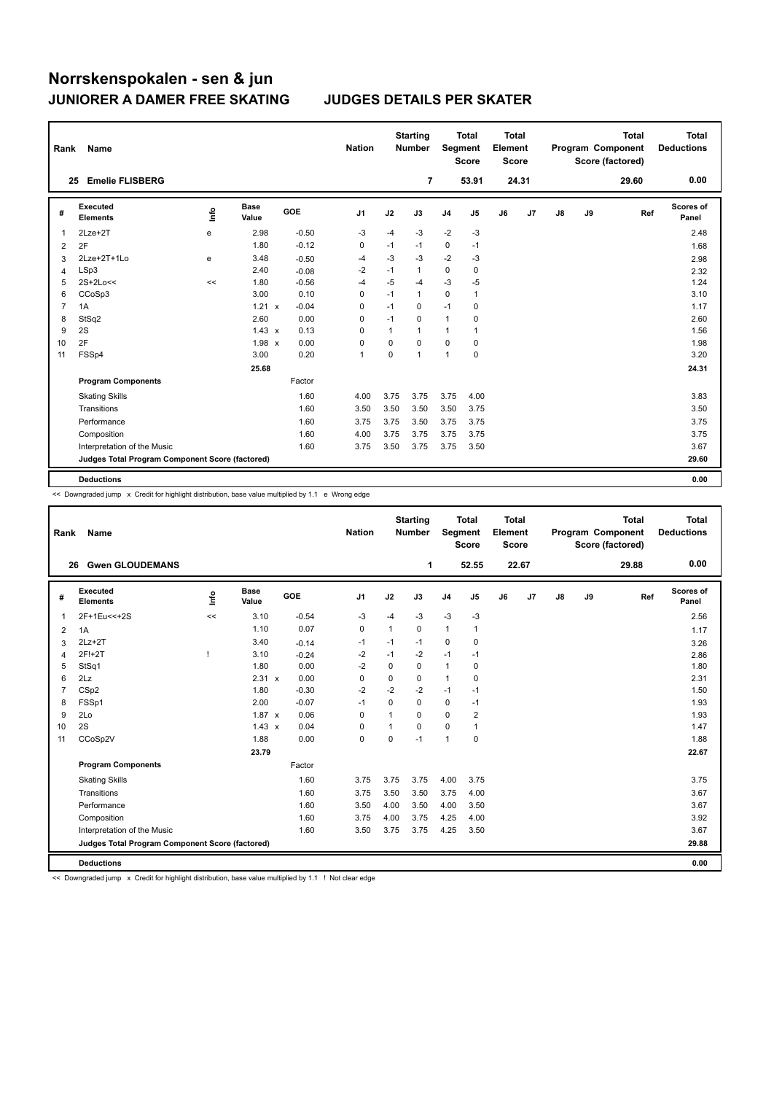| Rank           | Name                                                     |      |                      |         | <b>Nation</b>  |          | <b>Starting</b><br><b>Number</b> | <b>Total</b><br>Segment<br><b>Score</b> |              | <b>Total</b><br>Element<br><b>Score</b> |                | Program Component |    | <b>Total</b><br>Score (factored) | <b>Total</b><br><b>Deductions</b> |
|----------------|----------------------------------------------------------|------|----------------------|---------|----------------|----------|----------------------------------|-----------------------------------------|--------------|-----------------------------------------|----------------|-------------------|----|----------------------------------|-----------------------------------|
| 25             | <b>Emelie FLISBERG</b>                                   |      |                      |         |                |          | $\overline{7}$                   |                                         | 53.91        |                                         | 24.31          |                   |    | 29.60                            | 0.00                              |
| #              | <b>Executed</b><br><b>Elements</b>                       | ١ifo | <b>Base</b><br>Value | GOE     | J <sub>1</sub> | J2       | J3                               | J <sub>4</sub>                          | J5           | J6                                      | J <sub>7</sub> | J8                | J9 | Ref                              | Scores of<br>Panel                |
| 1              | $2Lze+2T$                                                | e    | 2.98                 | $-0.50$ | -3             | $-4$     | $-3$                             | $-2$                                    | $-3$         |                                         |                |                   |    |                                  | 2.48                              |
| $\overline{2}$ | 2F                                                       |      | 1.80                 | $-0.12$ | 0              | $-1$     | $-1$                             | 0                                       | $-1$         |                                         |                |                   |    |                                  | 1.68                              |
| 3              | 2Lze+2T+1Lo                                              | e    | 3.48                 | $-0.50$ | $-4$           | $-3$     | $-3$                             | $-2$                                    | $-3$         |                                         |                |                   |    |                                  | 2.98                              |
| 4              | LSp3                                                     |      | 2.40                 | $-0.08$ | $-2$           | $-1$     | $\mathbf{1}$                     | $\mathbf 0$                             | $\mathbf 0$  |                                         |                |                   |    |                                  | 2.32                              |
| 5              | $2S+2Lo<<$                                               | <<   | 1.80                 | $-0.56$ | $-4$           | $-5$     | $-4$                             | $-3$                                    | $-5$         |                                         |                |                   |    |                                  | 1.24                              |
| 6              | CCoSp3                                                   |      | 3.00                 | 0.10    | 0              | $-1$     | $\mathbf{1}$                     | $\mathbf 0$                             | $\mathbf{1}$ |                                         |                |                   |    |                                  | 3.10                              |
| $\overline{7}$ | 1A                                                       |      | 1.21 x               | $-0.04$ | 0              | $-1$     | $\Omega$                         | $-1$                                    | 0            |                                         |                |                   |    |                                  | 1.17                              |
| 8              | StSq2                                                    |      | 2.60                 | 0.00    | 0              | $-1$     | $\Omega$                         | $\mathbf{1}$                            | 0            |                                         |                |                   |    |                                  | 2.60                              |
| 9              | 2S                                                       |      | $1.43 \times$        | 0.13    | 0              | 1        | $\mathbf{1}$                     | 1                                       | $\mathbf{1}$ |                                         |                |                   |    |                                  | 1.56                              |
| 10             | 2F                                                       |      | 1.98 x               | 0.00    | $\Omega$       | $\Omega$ | $\Omega$                         | $\Omega$                                | $\Omega$     |                                         |                |                   |    |                                  | 1.98                              |
| 11             | FSSp4                                                    |      | 3.00                 | 0.20    | $\overline{1}$ | 0        | $\mathbf{1}$                     | $\mathbf{1}$                            | $\pmb{0}$    |                                         |                |                   |    |                                  | 3.20                              |
|                |                                                          |      | 25.68                |         |                |          |                                  |                                         |              |                                         |                |                   |    |                                  | 24.31                             |
|                | <b>Program Components</b>                                |      |                      | Factor  |                |          |                                  |                                         |              |                                         |                |                   |    |                                  |                                   |
|                | <b>Skating Skills</b>                                    |      |                      | 1.60    | 4.00           | 3.75     | 3.75                             | 3.75                                    | 4.00         |                                         |                |                   |    |                                  | 3.83                              |
|                | Transitions                                              |      |                      | 1.60    | 3.50           | 3.50     | 3.50                             | 3.50                                    | 3.75         |                                         |                |                   |    |                                  | 3.50                              |
|                | Performance                                              |      |                      | 1.60    | 3.75           | 3.75     | 3.50                             | 3.75                                    | 3.75         |                                         |                |                   |    |                                  | 3.75                              |
|                | Composition                                              |      |                      | 1.60    | 4.00           | 3.75     | 3.75                             | 3.75                                    | 3.75         |                                         |                |                   |    |                                  | 3.75                              |
|                | Interpretation of the Music                              |      |                      | 1.60    | 3.75           | 3.50     | 3.75                             | 3.75                                    | 3.50         |                                         |                |                   |    |                                  | 3.67                              |
|                | Judges Total Program Component Score (factored)<br>29.60 |      |                      |         |                |          |                                  |                                         |              |                                         |                |                   |    |                                  |                                   |
|                | <b>Deductions</b>                                        |      |                      |         |                |          |                                  |                                         |              |                                         |                |                   |    |                                  | 0.00                              |

<< Downgraded jump x Credit for highlight distribution, base value multiplied by 1.1 e Wrong edge

| Rank           | Name                                            |      |                      |         | <b>Nation</b>  |             | <b>Starting</b><br><b>Number</b> | Segment        | <b>Total</b><br><b>Score</b> | <b>Total</b><br>Element<br><b>Score</b> |       |               |    | <b>Total</b><br>Program Component<br>Score (factored) | Total<br><b>Deductions</b> |
|----------------|-------------------------------------------------|------|----------------------|---------|----------------|-------------|----------------------------------|----------------|------------------------------|-----------------------------------------|-------|---------------|----|-------------------------------------------------------|----------------------------|
| 26             | <b>Gwen GLOUDEMANS</b>                          |      |                      |         |                |             | 1                                |                | 52.55                        |                                         | 22.67 |               |    | 29.88                                                 | 0.00                       |
| #              | Executed<br><b>Elements</b>                     | lnfo | <b>Base</b><br>Value | GOE     | J <sub>1</sub> | J2          | J3                               | J <sub>4</sub> | J <sub>5</sub>               | J6                                      | J7    | $\mathsf{J}8$ | J9 | Ref                                                   | <b>Scores of</b><br>Panel  |
| 1              | 2F+1Eu<<+2S                                     | <<   | 3.10                 | $-0.54$ | $-3$           | $-4$        | $-3$                             | $-3$           | $-3$                         |                                         |       |               |    |                                                       | 2.56                       |
| 2              | 1A                                              |      | 1.10                 | 0.07    | 0              | 1           | 0                                | $\mathbf{1}$   | $\mathbf{1}$                 |                                         |       |               |    |                                                       | 1.17                       |
| 3              | $2Lz+2T$                                        |      | 3.40                 | $-0.14$ | -1             | $-1$        | $-1$                             | 0              | 0                            |                                         |       |               |    |                                                       | 3.26                       |
| $\overline{4}$ | 2F!+2T                                          |      | 3.10                 | $-0.24$ | $-2$           | $-1$        | $-2$                             | $-1$           | $-1$                         |                                         |       |               |    |                                                       | 2.86                       |
| 5              | StSq1                                           |      | 1.80                 | 0.00    | $-2$           | 0           | 0                                | $\mathbf{1}$   | 0                            |                                         |       |               |    |                                                       | 1.80                       |
| 6              | 2Lz                                             |      | 2.31 x               | 0.00    | $\mathbf 0$    | $\mathbf 0$ | 0                                | $\mathbf{1}$   | 0                            |                                         |       |               |    |                                                       | 2.31                       |
| $\overline{7}$ | CSp2                                            |      | 1.80                 | $-0.30$ | $-2$           | $-2$        | $-2$                             | $-1$           | $-1$                         |                                         |       |               |    |                                                       | 1.50                       |
| 8              | FSSp1                                           |      | 2.00                 | $-0.07$ | $-1$           | $\Omega$    | $\Omega$                         | $\mathbf 0$    | $-1$                         |                                         |       |               |    |                                                       | 1.93                       |
| 9              | 2Lo                                             |      | $1.87 \times$        | 0.06    | 0              | 1           | 0                                | $\mathbf 0$    | $\overline{\mathbf{c}}$      |                                         |       |               |    |                                                       | 1.93                       |
| 10             | 2S                                              |      | $1.43 \times$        | 0.04    | 0              | 1           | $\Omega$                         | $\mathbf 0$    | 1                            |                                         |       |               |    |                                                       | 1.47                       |
| 11             | CCoSp2V                                         |      | 1.88                 | 0.00    | $\mathbf 0$    | 0           | $-1$                             | $\overline{1}$ | 0                            |                                         |       |               |    |                                                       | 1.88                       |
|                |                                                 |      | 23.79                |         |                |             |                                  |                |                              |                                         |       |               |    |                                                       | 22.67                      |
|                | <b>Program Components</b>                       |      |                      | Factor  |                |             |                                  |                |                              |                                         |       |               |    |                                                       |                            |
|                | <b>Skating Skills</b>                           |      |                      | 1.60    | 3.75           | 3.75        | 3.75                             | 4.00           | 3.75                         |                                         |       |               |    |                                                       | 3.75                       |
|                | Transitions                                     |      |                      | 1.60    | 3.75           | 3.50        | 3.50                             | 3.75           | 4.00                         |                                         |       |               |    |                                                       | 3.67                       |
|                | Performance                                     |      |                      | 1.60    | 3.50           | 4.00        | 3.50                             | 4.00           | 3.50                         |                                         |       |               |    |                                                       | 3.67                       |
|                | Composition                                     |      |                      | 1.60    | 3.75           | 4.00        | 3.75                             | 4.25           | 4.00                         |                                         |       |               |    |                                                       | 3.92                       |
|                | Interpretation of the Music                     |      |                      | 1.60    | 3.50           | 3.75        | 3.75                             | 4.25           | 3.50                         |                                         |       |               |    |                                                       | 3.67                       |
|                | Judges Total Program Component Score (factored) |      |                      |         |                |             |                                  |                |                              |                                         |       |               |    |                                                       | 29.88                      |
|                | <b>Deductions</b>                               |      |                      |         |                |             |                                  |                |                              |                                         |       |               |    |                                                       | 0.00                       |

<< Downgraded jump x Credit for highlight distribution, base value multiplied by 1.1 ! Not clear edge